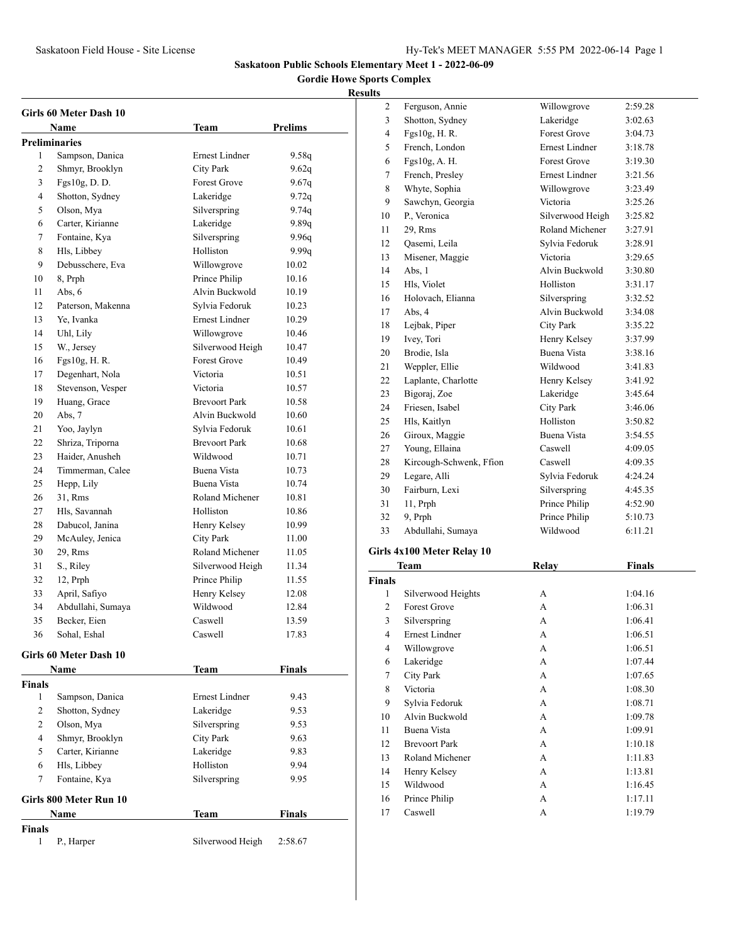# **Gordie Howe Sports Complex**

# **Results**

|               | Girls 60 Meter Dash 10                  |                      | <b>Prelims</b> |
|---------------|-----------------------------------------|----------------------|----------------|
|               | Name                                    | Team                 |                |
| 1             | <b>Preliminaries</b><br>Sampson, Danica | Ernest Lindner       | 9.58q          |
| 2             | Shmyr, Brooklyn                         | City Park            | 9.62q          |
| 3             | Fgs10g, D. D.                           | <b>Forest Grove</b>  | 9.67q          |
| 4             | Shotton, Sydney                         | Lakeridge            | 9.72q          |
| 5             | Olson, Mya                              | Silverspring         | 9.74q          |
| 6             | Carter, Kirianne                        | Lakeridge            | 9.89q          |
| 7             | Fontaine, Kya                           | Silverspring         | 9.96q          |
| 8             | Hls, Libbey                             | Holliston            | 9.99q          |
| 9             | Debusschere, Eva                        | Willowgrove          | 10.02          |
| 10            | 8, Prph                                 | Prince Philip        | 10.16          |
| 11            | Abs, $6$                                | Alvin Buckwold       | 10.19          |
| 12            | Paterson, Makenna                       | Sylvia Fedoruk       | 10.23          |
| 13            | Ye, Ivanka                              | Ernest Lindner       | 10.29          |
| 14            | Uhl, Lily                               | Willowgrove          | 10.46          |
| 15            | W., Jersey                              | Silverwood Heigh     | 10.47          |
| 16            | Fgs10g, H. R.                           | <b>Forest Grove</b>  | 10.49          |
| 17            | Degenhart, Nola                         | Victoria             | 10.51          |
| 18            | Stevenson, Vesper                       | Victoria             | 10.57          |
| 19            | Huang, Grace                            | <b>Brevoort Park</b> | 10.58          |
| 20            | Abs, 7                                  | Alvin Buckwold       | 10.60          |
| 21            | Yoo, Jaylyn                             | Sylvia Fedoruk       | 10.61          |
| 22            | Shriza, Triporna                        | <b>Brevoort Park</b> | 10.68          |
| 23            | Haider, Anusheh                         | Wildwood             | 10.71          |
| 24            | Timmerman, Calee                        | Buena Vista          | 10.73          |
| 25            | Hepp, Lily                              | Buena Vista          | 10.74          |
| 26            | 31, Rms                                 | Roland Michener      | 10.81          |
| 27            | Hls, Savannah                           | Holliston            | 10.86          |
| 28            | Dabucol, Janina                         | Henry Kelsey         | 10.99          |
| 29            | McAuley, Jenica                         | City Park            | 11.00          |
| 30            | 29, Rms                                 | Roland Michener      | 11.05          |
| 31            | S., Riley                               | Silverwood Heigh     | 11.34          |
| 32            | 12, Prph                                | Prince Philip        | 11.55          |
| 33            | April, Safiyo                           | Henry Kelsey         | 12.08          |
| 34            | Abdullahi, Sumaya                       | Wildwood             | 12.84          |
| 35            | Becker, Eien                            | Caswell              | 13.59          |
| 36            | Sohal, Eshal                            | Caswell              | 17.83          |
|               | Girls 60 Meter Dash 10                  |                      |                |
|               | Name                                    | Team                 | <b>Finals</b>  |
| <b>Finals</b> |                                         |                      |                |
| 1             | Sampson, Danica                         | Ernest Lindner       | 9.43           |
| 2             | Shotton, Sydney                         | Lakeridge            | 9.53           |
| 2             | Olson, Mya                              | Silverspring         | 9.53           |
| 4             | Shmyr, Brooklyn                         | City Park            | 9.63           |
| 5             | Carter, Kirianne                        | Lakeridge            | 9.83           |
| 6             | Hls, Libbey                             | Holliston            | 9.94           |
| 7             | Fontaine, Kya                           | Silverspring         | 9.95           |
|               |                                         |                      |                |
|               | Girls 800 Meter Run 10<br>Name          |                      |                |
|               |                                         | Team                 | Finals         |
| Finals<br>1   | P., Harper                              | Silverwood Heigh     | 2:58.67        |

| .э             |                         |                       |         |
|----------------|-------------------------|-----------------------|---------|
| 2              | Ferguson, Annie         | Willowgrove           | 2:59.28 |
| 3              | Shotton, Sydney         | Lakeridge             | 3:02.63 |
| $\overline{4}$ | Fgs10g, H. R.           | <b>Forest Grove</b>   | 3:04.73 |
| 5              | French, London          | <b>Ernest Lindner</b> | 3:18.78 |
| 6              | Fgs10g, A. H.           | <b>Forest Grove</b>   | 3:19.30 |
| 7              | French, Presley         | <b>Ernest Lindner</b> | 3:21.56 |
| 8              | Whyte, Sophia           | Willowgrove           | 3:23.49 |
| 9              | Sawchyn, Georgia        | Victoria              | 3:25.26 |
| 10             | P., Veronica            | Silverwood Heigh      | 3:25.82 |
| 11             | 29, Rms                 | Roland Michener       | 3:27.91 |
| 12             | Qasemi, Leila           | Sylvia Fedoruk        | 3:28.91 |
| 13             | Misener, Maggie         | Victoria              | 3:29.65 |
| 14             | Abs, 1                  | Alvin Buckwold        | 3:30.80 |
| 15             | Hls, Violet             | Holliston             | 3:31.17 |
| 16             | Holovach, Elianna       | Silverspring          | 3:32.52 |
| 17             | Abs, 4                  | Alvin Buckwold        | 3:34.08 |
| 18             | Lejbak, Piper           | City Park             | 3:35.22 |
| 19             | Ivey, Tori              | Henry Kelsey          | 3:37.99 |
| 20             | Brodie, Isla            | <b>Buena Vista</b>    | 3:38.16 |
| 21             | Weppler, Ellie          | Wildwood              | 3:41.83 |
| 22             | Laplante, Charlotte     | Henry Kelsey          | 3:41.92 |
| 23             | Bigoraj, Zoe            | Lakeridge             | 3:45.64 |
| 24             | Friesen, Isabel         | City Park             | 3:46.06 |
| 25             | Hls, Kaitlyn            | Holliston             | 3:50.82 |
| 26             | Giroux, Maggie          | Buena Vista           | 3:54.55 |
| 27             | Young, Ellaina          | Caswell               | 4:09.05 |
| 28             | Kircough-Schwenk, Ffion | Caswell               | 4:09.35 |
| 29             | Legare, Alli            | Sylvia Fedoruk        | 4:24.24 |
| 30             | Fairburn, Lexi          | Silverspring          | 4:45.35 |
| 31             | 11, Prph                | Prince Philip         | 4:52.90 |
| 32             | 9, Prph                 | Prince Philip         | 5:10.73 |
| 33             | Abdullahi, Sumaya       | Wildwood              | 6:11.21 |
|                |                         |                       |         |

# **Girls 4x100 Meter Relay 10**

|        | Team                 | Relay | <b>Finals</b> |
|--------|----------------------|-------|---------------|
| Finals |                      |       |               |
| 1      | Silverwood Heights   | A     | 1:04.16       |
| 2      | <b>Forest Grove</b>  | A     | 1:06.31       |
| 3      | Silverspring         | А     | 1:06.41       |
| 4      | Ernest Lindner       | A     | 1:06.51       |
| 4      | Willowgrove          | А     | 1:06.51       |
| 6      | Lakeridge            | A     | 1:07.44       |
| 7      | City Park            | A     | 1:07.65       |
| 8      | Victoria             | A     | 1:08.30       |
| 9      | Sylvia Fedoruk       | A     | 1:08.71       |
| 10     | Alvin Buckwold       | А     | 1:09.78       |
| 11     | Buena Vista          | A     | 1:09.91       |
| 12     | <b>Brevoort Park</b> | A     | 1:10.18       |
| 13     | Roland Michener      | A     | 1:11.83       |
| 14     | Henry Kelsey         | A     | 1:13.81       |
| 15     | Wildwood             | A     | 1:16.45       |
| 16     | Prince Philip        | A     | 1:17.11       |
| 17     | Caswell              | А     | 1:19.79       |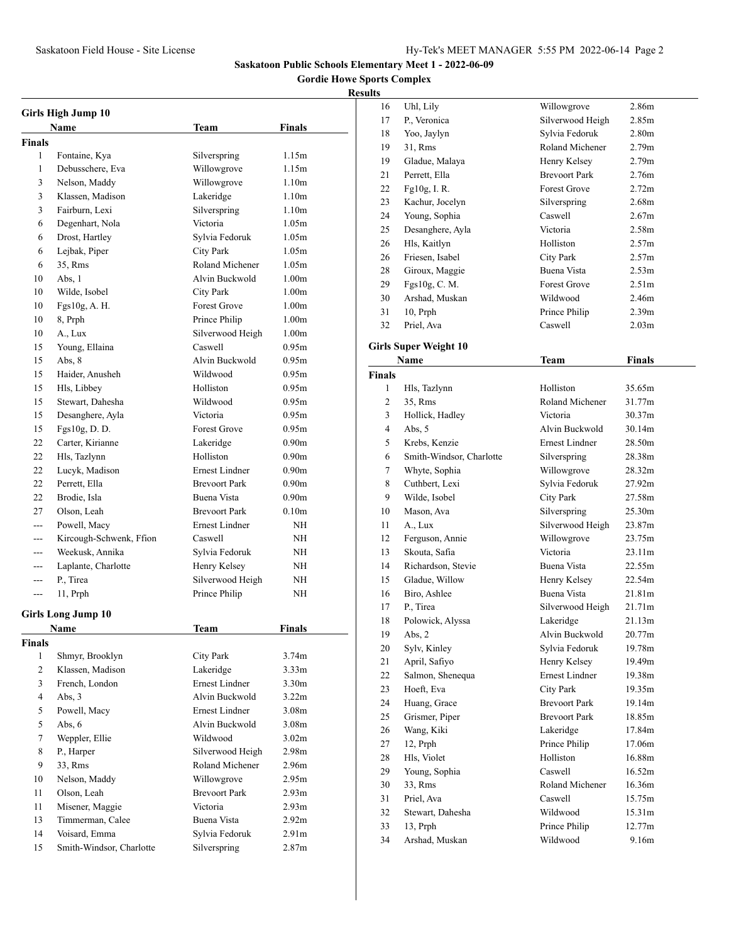# **Gordie Howe Sports Complex**

| Girls High Jump 10 |                                            |                       |                   |  |
|--------------------|--------------------------------------------|-----------------------|-------------------|--|
|                    | Name                                       | Team                  | Finals            |  |
| <b>Finals</b>      |                                            |                       |                   |  |
| 1                  | Fontaine, Kya                              | Silverspring          | 1.15m             |  |
| 1                  | Debusschere, Eva                           | Willowgrove           | 1.15m             |  |
| 3                  | Nelson, Maddy                              | Willowgrove           | 1.10 <sub>m</sub> |  |
| 3                  | Klassen, Madison                           | Lakeridge             | 1.10 <sub>m</sub> |  |
| 3                  | Fairburn, Lexi                             | Silverspring          | 1.10 <sub>m</sub> |  |
| 6                  | Degenhart, Nola                            | Victoria              | 1.05m             |  |
| 6                  | Drost, Hartley                             | Sylvia Fedoruk        | 1.05m             |  |
| 6                  | Lejbak, Piper                              | City Park             | 1.05m             |  |
| 6                  | 35. Rms                                    | Roland Michener       | 1.05m             |  |
| 10                 | Abs, 1                                     | Alvin Buckwold        | 1.00 <sub>m</sub> |  |
| 10                 | Wilde, Isobel                              | City Park             | 1.00 <sub>m</sub> |  |
| 10                 | Fgs10g, A. H.                              | Forest Grove          | 1.00 <sub>m</sub> |  |
| 10                 | 8, Prph                                    | Prince Philip         | 1.00 <sub>m</sub> |  |
| 10                 | A., Lux                                    | Silverwood Heigh      | 1.00 <sub>m</sub> |  |
| 15                 | Young, Ellaina                             | Caswell               | 0.95m             |  |
| 15                 | Abs, $8$                                   | Alvin Buckwold        | 0.95m             |  |
| 15                 | Haider, Anusheh                            | Wildwood              | 0.95m             |  |
| 15                 | Hls, Libbey                                | Holliston             | 0.95m             |  |
| 15                 | Stewart, Dahesha                           | Wildwood              | 0.95m             |  |
| 15                 | Desanghere, Ayla                           | Victoria              | 0.95m             |  |
| 15                 | Fgs10g, D. D.                              | <b>Forest Grove</b>   | 0.95m             |  |
| 22                 | Carter, Kirianne                           | Lakeridge             | 0.90 <sub>m</sub> |  |
| 22                 | Hls, Tazlynn                               | Holliston             | 0.90 <sub>m</sub> |  |
| 22                 | Lucyk, Madison                             | <b>Ernest Lindner</b> | 0.90 <sub>m</sub> |  |
| 22                 | Perrett, Ella                              | <b>Brevoort Park</b>  | 0.90 <sub>m</sub> |  |
| 22                 | Brodie, Isla                               | Buena Vista           | 0.90 <sub>m</sub> |  |
| 27                 | Olson, Leah                                | <b>Brevoort Park</b>  | 0.10 <sub>m</sub> |  |
| $---$              | Powell, Macy                               | <b>Ernest Lindner</b> | NΗ                |  |
| $- - -$            |                                            | Caswell               | NΗ                |  |
|                    | Kircough-Schwenk, Ffion<br>Weekusk, Annika | Sylvia Fedoruk        | NΗ                |  |
|                    |                                            |                       | <b>NH</b>         |  |
| ---<br>---         | Laplante, Charlotte                        | Henry Kelsey          | ΝH                |  |
| $---$              | P., Tirea                                  | Silverwood Heigh      | NΗ                |  |
|                    | 11, Prph                                   | Prince Philip         |                   |  |
|                    | <b>Girls Long Jump 10</b>                  |                       |                   |  |
|                    | Name                                       | <b>Team</b>           | Finals            |  |
| Finals             |                                            |                       |                   |  |
| 1                  | Shmyr, Brooklyn                            | City Park             | 3.74m             |  |
| $\overline{2}$     | Klassen, Madison                           | Lakeridge             | 3.33 <sub>m</sub> |  |
| 3                  | French, London                             | Ernest Lindner        | 3.30 <sub>m</sub> |  |
| 4                  | Abs, $3$                                   | Alvin Buckwold        | 3.22 <sub>m</sub> |  |
| 5                  | Powell, Macy                               | Ernest Lindner        | 3.08 <sub>m</sub> |  |
| 5                  | Abs. $6$                                   | Alvin Buckwold        | 3.08 <sub>m</sub> |  |
| 7                  | Weppler, Ellie                             | Wildwood              | 3.02 <sub>m</sub> |  |
| 8                  | P., Harper                                 | Silverwood Heigh      | 2.98 <sub>m</sub> |  |
| 9                  | 33, Rms                                    | Roland Michener       | 2.96m             |  |
| 10                 | Nelson, Maddy                              | Willowgrove           | 2.95m             |  |
| 11                 | Olson, Leah                                | <b>Brevoort Park</b>  | 2.93 <sub>m</sub> |  |
| 11                 | Misener, Maggie                            | Victoria              | 2.93 <sub>m</sub> |  |
| 13                 | Timmerman, Calee                           | Buena Vista           | 2.92m             |  |
| 14                 | Voisard, Emma                              | Sylvia Fedoruk        | 2.91m             |  |
| 15                 | Smith-Windsor, Charlotte                   | Silverspring          | 2.87m             |  |

| uns    |                              |                       |                   |
|--------|------------------------------|-----------------------|-------------------|
| 16     | Uhl, Lily                    | Willowgrove           | 2.86m             |
| 17     | P., Veronica                 | Silverwood Heigh      | 2.85m             |
| 18     | Yoo, Jaylyn                  | Sylvia Fedoruk        | 2.80 <sub>m</sub> |
| 19     | 31, Rms                      | Roland Michener       | 2.79 <sub>m</sub> |
| 19     | Gladue, Malaya               | Henry Kelsey          | 2.79 <sub>m</sub> |
| 21     | Perrett, Ella                | <b>Brevoort Park</b>  | 2.76m             |
| 22     | $Fg10g$ , I. R.              | <b>Forest Grove</b>   | 2.72m             |
| 23     | Kachur, Jocelyn              | Silverspring          | 2.68m             |
| 24     | Young, Sophia                | Caswell               | 2.67m             |
| 25     | Desanghere, Ayla             | Victoria              | 2.58m             |
| 26     | Hls, Kaitlyn                 | Holliston             | 2.57m             |
| 26     | Friesen, Isabel              | City Park             | 2.57m             |
| 28     | Giroux, Maggie               | Buena Vista           | 2.53 <sub>m</sub> |
| 29     | Fgs10g, C. M.                | <b>Forest Grove</b>   | 2.51 <sub>m</sub> |
| 30     | Arshad, Muskan               | Wildwood              | 2.46m             |
| 31     | $10$ , Prph                  | Prince Philip         | 2.39 <sub>m</sub> |
| 32     | Priel, Ava                   | Caswell               | 2.03 <sub>m</sub> |
|        |                              |                       |                   |
|        | <b>Girls Super Weight 10</b> |                       |                   |
|        | <b>Name</b>                  | Team                  | <b>Finals</b>     |
| Finals |                              |                       |                   |
| 1      | Hls, Tazlynn                 | Holliston             | 35.65m            |
| 2      | 35, Rms                      | Roland Michener       | 31.77m            |
| 3      | Hollick, Hadley              | Victoria              | 30.37m            |
| 4      | Abs, 5                       | Alvin Buckwold        | 30.14m            |
| 5      | Krebs, Kenzie                | <b>Ernest Lindner</b> | 28.50m            |
| 6      | Smith-Windsor, Charlotte     | Silverspring          | 28.38m            |
| 7      | Whyte, Sophia                | Willowgrove           | 28.32m            |
| 8      | Cuthbert, Lexi               | Sylvia Fedoruk        | 27.92m            |
| 9      | Wilde, Isobel                | City Park             | 27.58m            |
| 10     | Mason, Ava                   | Silverspring          | 25.30m            |
| 11     | A., Lux                      | Silverwood Heigh      | 23.87m            |
| 12     | Ferguson, Annie              | Willowgrove           | 23.75m            |
| 13     | Skouta, Safia                | Victoria              | 23.11m            |
| 14     | Richardson, Stevie           | Buena Vista           | 22.55m            |
| 15     | Gladue, Willow               | Henry Kelsey          | 22.54m            |
| 16     | Biro, Ashlee                 | Buena Vista           | 21.81m            |
| 17     | P., Tirea                    | Silverwood Heigh      | 21.71m            |
| 18     | Polowick, Alyssa             | Lakeridge             | 21.13m            |
| 19     | Abs, 2                       | Alvin Buckwold        | 20.77m            |
| 20     | Sylv, Kinley                 | Sylvia Fedoruk        | 19.78m            |
| 21     | April, Safiyo                | Henry Kelsey          | 19.49m            |
| 22     | Salmon, Shenequa             | Ernest Lindner        | 19.38m            |
| 23     | Hoeft, Eva                   | <b>City Park</b>      | 19.35m            |
| 24     | Huang, Grace                 | <b>Brevoort Park</b>  | 19.14m            |
| 25     | Grismer, Piper               | <b>Brevoort Park</b>  | 18.85m            |
| 26     | Wang, Kiki                   | Lakeridge             | 17.84m            |
| 27     | 12, Prph                     | Prince Philip         | 17.06m            |
| 28     | Hls, Violet                  | Holliston             | 16.88m            |
| 29     | Young, Sophia                | Caswell               | 16.52m            |
| 30     | 33, Rms                      | Roland Michener       | 16.36m            |
| 31     | Priel, Ava                   | Caswell               | 15.75m            |
| 32     | Stewart, Dahesha             | Wildwood              | 15.31m            |
| 33     | $13$ , Prph                  | Prince Philip         | 12.77m            |
| 34     | Arshad, Muskan               | Wildwood              | 9.16m             |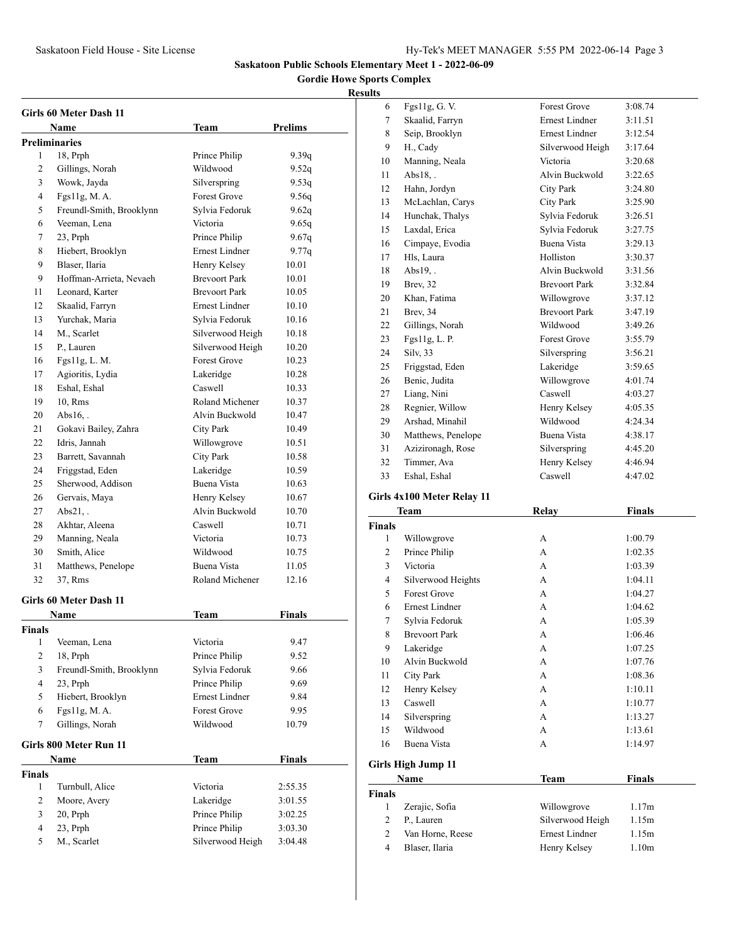**Gordie Howe Sports Complex**

| <b>Girls 60 Meter Dash 11</b> |                          |                       |                |  |
|-------------------------------|--------------------------|-----------------------|----------------|--|
|                               | Name                     | Team                  | <b>Prelims</b> |  |
|                               | Preliminaries            |                       |                |  |
| 1                             | 18, Prph                 | Prince Philip         | 9.39q          |  |
| 2                             | Gillings, Norah          | Wildwood              | 9.52q          |  |
| 3                             | Wowk, Jayda              | Silverspring          | 9.53q          |  |
| 4                             | Fgs11g, M. A.            | <b>Forest Grove</b>   | 9.56q          |  |
| 5                             | Freundl-Smith, Brooklynn | Sylvia Fedoruk        | 9.62q          |  |
| 6                             | Veeman, Lena             | Victoria              | 9.65q          |  |
| 7                             | 23, Prph                 | Prince Philip         | 9.67q          |  |
| 8                             | Hiebert, Brooklyn        | <b>Ernest Lindner</b> | 9.77q          |  |
| 9                             | Blaser, Ilaria           | Henry Kelsey          | 10.01          |  |
| 9                             | Hoffman-Arrieta, Nevaeh  | <b>Brevoort Park</b>  | 10.01          |  |
| 11                            | Leonard, Karter          | <b>Brevoort Park</b>  | 10.05          |  |
| 12                            | Skaalid, Farryn          | <b>Ernest Lindner</b> | 10.10          |  |
| 13                            | Yurchak, Maria           | Sylvia Fedoruk        | 10.16          |  |
| 14                            | M., Scarlet              | Silverwood Heigh      | 10.18          |  |
| 15                            | P., Lauren               | Silverwood Heigh      | 10.20          |  |
| 16                            | Fgs11g, L. M.            | <b>Forest Grove</b>   | 10.23          |  |
| 17                            | Agioritis, Lydia         | Lakeridge             | 10.28          |  |
| 18                            | Eshal, Eshal             | Caswell               | 10.33          |  |
| 19                            | 10, Rms                  | Roland Michener       | 10.37          |  |
| 20                            | $Abs16.$ .               | Alvin Buckwold        | 10.47          |  |
| 21                            | Gokavi Bailey, Zahra     | City Park             | 10.49          |  |
| 22                            | Idris, Jannah            | Willowgrove           | 10.51          |  |
| 23                            | Barrett, Savannah        | <b>City Park</b>      | 10.58          |  |
| 24                            | Friggstad, Eden          | Lakeridge             | 10.59          |  |
| 25                            | Sherwood, Addison        | Buena Vista           | 10.63          |  |
| 26                            | Gervais, Maya            | Henry Kelsey          | 10.67          |  |
| 27                            | Abs21.                   | Alvin Buckwold        | 10.70          |  |
| 28                            | Akhtar, Aleena           | Caswell               | 10.71          |  |
| 29                            | Manning, Neala           | Victoria              | 10.73          |  |
| 30                            | Smith, Alice             | Wildwood              | 10.75          |  |
| 31                            | Matthews, Penelope       | Buena Vista           | 11.05          |  |
| 32                            | 37, Rms                  | Roland Michener       | 12.16          |  |
|                               | Girls 60 Meter Dash 11   |                       |                |  |
|                               | Name                     | Team                  | Finals         |  |
| Finals                        |                          |                       |                |  |
| 1                             | Veeman, Lena             | Victoria              | 9.47           |  |
| $\mathbf{2}$                  | 18, Prph                 | Prince Philip         | 9.52           |  |
| 3                             | Freundl-Smith, Brooklynn | Sylvia Fedoruk        | 9.66           |  |
| 4                             | 23, Prph                 | Prince Philip         | 9.69           |  |
| 5                             | Hiebert, Brooklyn        | Ernest Lindner        | 9.84           |  |
| 6                             | Fgs11g, M.A.             | Forest Grove          | 9.95           |  |
| 7                             | Gillings, Norah          | Wildwood              | 10.79          |  |
|                               | Girls 800 Meter Run 11   |                       |                |  |
|                               | Name                     | Team                  | <b>Finals</b>  |  |
| Finals                        |                          |                       |                |  |
| 1                             | Turnbull, Alice          | Victoria              | 2:55.35        |  |
| $\mathbf{2}$                  | Moore, Avery             | Lakeridge             | 3:01.55        |  |
| 3                             | 20, Prph                 | Prince Philip         | 3:02.25        |  |
| 4                             | 23, Prph                 | Prince Philip         | 3:03.30        |  |
| 5                             | M., Scarlet              | Silverwood Heigh      | 3:04.48        |  |

| 6  | Fgs11g, G. V.              | <b>Forest Grove</b>   | 3:08.74 |
|----|----------------------------|-----------------------|---------|
| 7  | Skaalid, Farryn            | <b>Ernest Lindner</b> | 3:11.51 |
| 8  | Seip, Brooklyn             | Ernest Lindner        | 3:12.54 |
| 9  | H., Cady                   | Silverwood Heigh      | 3:17.64 |
| 10 | Manning, Neala             | Victoria              | 3:20.68 |
| 11 | $Abs18.$ .                 | Alvin Buckwold        | 3:22.65 |
| 12 | Hahn, Jordyn               | <b>City Park</b>      | 3:24.80 |
| 13 | McLachlan, Carys           | <b>City Park</b>      | 3:25.90 |
| 14 | Hunchak, Thalys            | Sylvia Fedoruk        | 3:26.51 |
| 15 | Laxdal, Erica              | Sylvia Fedoruk        | 3:27.75 |
| 16 | Cimpaye, Evodia            | <b>Buena Vista</b>    | 3:29.13 |
| 17 | Hls, Laura                 | Holliston             | 3:30.37 |
| 18 | $Abs19.$ .                 | Alvin Buckwold        | 3:31.56 |
| 19 | Brev, 32                   | <b>Brevoort Park</b>  | 3:32.84 |
| 20 | Khan, Fatima               | Willowgrove           | 3:37.12 |
| 21 | Brev, 34                   | <b>Brevoort Park</b>  | 3:47.19 |
| 22 | Gillings, Norah            | Wildwood              | 3:49.26 |
| 23 | Fgs11g, L. P.              | <b>Forest Grove</b>   | 3:55.79 |
| 24 | Silv, 33                   | Silverspring          | 3:56.21 |
| 25 | Friggstad, Eden            | Lakeridge             | 3:59.65 |
| 26 | Benic, Judita              | Willowgrove           | 4:01.74 |
| 27 | Liang, Nini                | Caswell               | 4:03.27 |
| 28 | Regnier, Willow            | Henry Kelsey          | 4:05.35 |
| 29 | Arshad, Minahil            | Wildwood              | 4:24.34 |
| 30 | Matthews, Penelope         | Buena Vista           | 4:38.17 |
| 31 | Azizironagh, Rose          | Silverspring          | 4:45.20 |
| 32 | Timmer, Ava                | Henry Kelsey          | 4:46.94 |
| 33 | Eshal, Eshal               | Caswell               | 4:47.02 |
|    | Girls 4x100 Meter Relay 11 |                       |         |

|                | Team                 | Relay                 | <b>Finals</b>     |  |
|----------------|----------------------|-----------------------|-------------------|--|
| <b>Finals</b>  |                      |                       |                   |  |
| 1              | Willowgrove          | A                     | 1:00.79           |  |
| $\overline{c}$ | Prince Philip        | $\mathsf{A}$          | 1:02.35           |  |
| 3              | Victoria             | A                     | 1:03.39           |  |
| 4              | Silverwood Heights   | A                     | 1:04.11           |  |
| 5              | <b>Forest Grove</b>  | A                     | 1:04.27           |  |
| 6              | Ernest Lindner       | A                     | 1:04.62           |  |
| 7              | Sylvia Fedoruk       | A                     | 1:05.39           |  |
| 8              | <b>Brevoort Park</b> | A                     | 1:06.46           |  |
| 9              | Lakeridge            | A                     | 1:07.25           |  |
| 10             | Alvin Buckwold       | A                     | 1:07.76           |  |
| 11             | City Park            | A                     | 1:08.36           |  |
| 12             | Henry Kelsey         | A                     | 1:10.11           |  |
| 13             | Caswell              | A                     | 1:10.77           |  |
| 14             | Silverspring         | $\mathsf{A}$          | 1:13.27           |  |
| 15             | Wildwood             | $\mathsf{A}$          | 1:13.61           |  |
| 16             | Buena Vista          | A                     | 1:14.97           |  |
|                | Girls High Jump 11   |                       |                   |  |
|                | Name                 | <b>Team</b>           | Finals            |  |
| <b>Finals</b>  |                      |                       |                   |  |
| 1              | Zerajic, Sofia       | Willowgrove           | 1.17m             |  |
| 2              | P., Lauren           | Silverwood Heigh      | 1.15m             |  |
| 2              | Van Horne, Reese     | <b>Ernest Lindner</b> | 1.15m             |  |
| $\overline{4}$ | Blaser, Ilaria       | Henry Kelsey          | 1.10 <sub>m</sub> |  |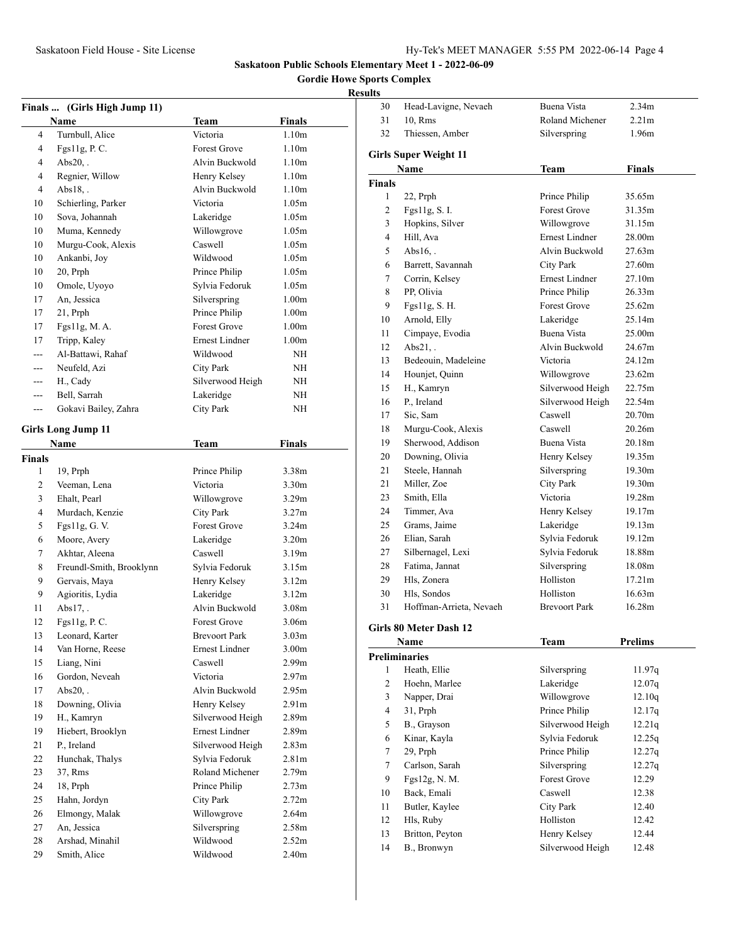**Gordie Howe Sports Complex**

|               | Finals  (Girls High Jump 11) |                      |                   |
|---------------|------------------------------|----------------------|-------------------|
|               | <b>Name</b>                  | Team                 | <b>Finals</b>     |
| 4             | Turnbull, Alice              | Victoria             | 1.10 <sub>m</sub> |
| 4             | Fgs11g, P. C.                | <b>Forest Grove</b>  | 1.10 <sub>m</sub> |
| 4             | $Abs20,$ .                   | Alvin Buckwold       | 1.10 <sub>m</sub> |
| 4             | Regnier, Willow              | Henry Kelsey         | 1.10 <sub>m</sub> |
| 4             | $Abs18,$ .                   | Alvin Buckwold       | 1.10 <sub>m</sub> |
| 10            | Schierling, Parker           | Victoria             | 1.05m             |
| 10            | Sova, Johannah               | Lakeridge            | 1.05m             |
| 10            | Muma, Kennedy                | Willowgrove          | 1.05m             |
| 10            | Murgu-Cook, Alexis           | Caswell              | 1.05m             |
| 10            | Ankanbi, Joy                 | Wildwood             | 1.05m             |
| 10            | 20, Prph                     | Prince Philip        | 1.05m             |
| 10            | Omole, Uyoyo                 | Sylvia Fedoruk       | 1.05m             |
| 17            | An, Jessica                  | Silverspring         | 1.00 <sub>m</sub> |
| 17            | 21, Prph                     | Prince Philip        | 1.00 <sub>m</sub> |
| 17            | Fgs11g, M.A.                 | <b>Forest Grove</b>  | 1.00 <sub>m</sub> |
| 17            | Tripp, Kaley                 | Ernest Lindner       | 1.00 <sub>m</sub> |
| ---           | Al-Battawi, Rahaf            | Wildwood             | ΝH                |
| ---           | Neufeld, Azi                 | <b>City Park</b>     | ΝH                |
| ---           | H., Cady                     | Silverwood Heigh     | ΝH                |
| $---$         | Bell, Sarrah                 | Lakeridge            | ΝH                |
| ---           | Gokavi Bailey, Zahra         | <b>City Park</b>     | ΝH                |
|               |                              |                      |                   |
|               | <b>Girls Long Jump 11</b>    |                      |                   |
|               | Name                         | Team                 | Finals            |
| <b>Finals</b> |                              |                      |                   |
| 1             | 19, Prph                     | Prince Philip        | 3.38m             |
| 2             | Veeman, Lena                 | Victoria             | 3.30 <sub>m</sub> |
| 3             | Ehalt, Pearl                 | Willowgrove          | 3.29 <sub>m</sub> |
| 4             | Murdach, Kenzie              | <b>City Park</b>     | 3.27m             |
| 5             | Fgs11g, G. V.                | Forest Grove         | 3.24 <sub>m</sub> |
| 6             | Moore, Avery                 | Lakeridge            | 3.20 <sub>m</sub> |
| 7             | Akhtar, Aleena               | Caswell              | 3.19 <sub>m</sub> |
| 8             | Freundl-Smith, Brooklynn     | Sylvia Fedoruk       | 3.15m             |
| 9             | Gervais, Maya                | Henry Kelsey         | 3.12m             |
| 9             | Agioritis, Lydia             | Lakeridge            | 3.12m             |
| 11            | Abs $17.$ .                  | Alvin Buckwold       | 3.08 <sub>m</sub> |
| 12            | Fgs11g, P. C.                | <b>Forest Grove</b>  | 3.06m             |
| 13            | Leonard, Karter              | <b>Brevoort Park</b> | 3.03m             |
| 14            | Van Horne, Reese             | Ernest Lindner       | 3.00 <sub>m</sub> |
| 15            | Liang, Nini                  | Caswell              | 2.99 <sub>m</sub> |
| 16            | Gordon, Neveah               | Victoria             | 2.97 <sub>m</sub> |
| 17            | $Abs20,$ .                   | Alvin Buckwold       | 2.95m             |
| 18            | Downing, Olivia              | Henry Kelsey         | 2.91 <sub>m</sub> |
| 19            | H., Kamryn                   | Silverwood Heigh     | 2.89 <sub>m</sub> |
| 19            | Hiebert, Brooklyn            | Ernest Lindner       | 2.89m             |
| 21            | P., Ireland                  | Silverwood Heigh     | 2.83m             |
| 22            | Hunchak, Thalys              | Sylvia Fedoruk       | 2.81 <sub>m</sub> |
| 23            | 37, Rms                      | Roland Michener      | 2.79m             |
| 24            | 18, Prph                     | Prince Philip        | 2.73 <sub>m</sub> |
| 25            | Hahn, Jordyn                 | City Park            | 2.72m             |
| 26            | Elmongy, Malak               | Willowgrove          | 2.64m             |
| 27            | An, Jessica                  | Silverspring         | 2.58m             |
| 28            | Arshad, Minahil              | Wildwood             | 2.52m             |
| 29            | Smith, Alice                 | Wildwood             | 2.40m             |

| 30                      | Head-Lavigne, Nevaeh         | Buena Vista          | 2.34 <sub>m</sub>  |
|-------------------------|------------------------------|----------------------|--------------------|
| 31                      | 10, Rms                      | Roland Michener      | 2.21 <sub>m</sub>  |
| 32                      | Thiessen, Amber              | Silverspring         | 1.96m              |
|                         | <b>Girls Super Weight 11</b> |                      |                    |
|                         | <b>Name</b>                  | Team                 | <b>Finals</b>      |
| <b>Finals</b>           |                              |                      |                    |
| 1                       | 22, Prph                     | Prince Philip        | 35.65m             |
| 2                       | Fgs11g, S. I.                | <b>Forest Grove</b>  | 31.35m             |
| 3                       | Hopkins, Silver              | Willowgrove          | 31.15m             |
| 4                       | Hill, Ava                    | Ernest Lindner       | 28.00m             |
| 5                       | $Abs16.$ .                   | Alvin Buckwold       | 27.63m             |
| 6                       | Barrett, Savannah            | City Park            | 27.60m             |
| 7                       | Corrin, Kelsey               | Ernest Lindner       | 27.10m             |
| 8                       | PP, Olivia                   | Prince Philip        | 26.33m             |
| 9                       | Fgs11g, S. H.                | <b>Forest Grove</b>  | 25.62m             |
| 10                      | Arnold, Elly                 | Lakeridge            | 25.14m             |
| 11                      | Cimpaye, Evodia              | <b>Buena Vista</b>   | 25.00m             |
| 12                      | $Abs21,$ .                   | Alvin Buckwold       | 24.67m             |
| 13                      | Bedeouin, Madeleine          | Victoria             | 24.12m             |
| 14                      | Hounjet, Quinn               | Willowgrove          | 23.62m             |
| 15                      | H., Kamryn                   | Silverwood Heigh     | 22.75m             |
| 16                      | P., Ireland                  | Silverwood Heigh     | 22.54m             |
| 17                      | Sic, Sam                     | Caswell              | 20.70m             |
| 18                      | Murgu-Cook, Alexis           | Caswell              | 20.26m             |
| 19                      | Sherwood, Addison            | <b>Buena Vista</b>   | 20.18m             |
| 20                      | Downing, Olivia              | Henry Kelsey         | 19.35m             |
| 21                      | Steele, Hannah               | Silverspring         | 19.30m             |
| 21                      | Miller, Zoe                  | <b>City Park</b>     | 19.30m             |
| 23                      | Smith, Ella                  | Victoria             | 19.28m             |
| 24                      | Timmer, Ava                  | Henry Kelsey         | 19.17m             |
| 25                      | Grams, Jaime                 | Lakeridge            | 19.13m             |
| 26                      | Elian, Sarah                 | Sylvia Fedoruk       | 19.12m             |
| 27                      | Silbernagel, Lexi            | Sylvia Fedoruk       | 18.88m             |
| 28                      | Fatima, Jannat               | Silverspring         | 18.08m             |
| 29                      | Hls, Zonera                  | Holliston            | 17.21m             |
| 30                      | Hls, Sondos                  | Holliston            | 16.63m             |
| 31                      | Hoffman-Arrieta, Nevaeh      | <b>Brevoort Park</b> | 16.28m             |
|                         | Girls 80 Meter Dash 12       |                      |                    |
|                         | <b>Name</b>                  | <b>Team</b>          | Prelims            |
|                         | <b>Preliminaries</b>         |                      |                    |
| 1                       | Heath, Ellie                 | Silverspring         | 11.97q             |
| $\mathbf{2}$            | Hoehn, Marlee                | Lakeridge            | 12.07 <sub>q</sub> |
| 3                       | Napper, Drai                 | Willowgrove          | 12.10q             |
| $\overline{\mathbf{4}}$ | 31, Prph                     | Prince Philip        | 12.17q             |
| 5                       | B., Grayson                  | Silverwood Heigh     | 12.21q             |
| 6                       | Kinar, Kayla                 | Sylvia Fedoruk       | 12.25q             |
| 7                       | 29, Prph                     | Prince Philip        | 12.27q             |
| 7                       | Carlson, Sarah               | Silverspring         | 12.27q             |
| 9                       | Fgs12g, N. M.                | Forest Grove         | 12.29              |
| 10                      | Back, Emali                  | Caswell              | 12.38              |
| 11                      | Butler, Kaylee               | <b>City Park</b>     | 12.40              |
| 12                      | Hls, Ruby                    | Holliston            | 12.42              |
| 13                      | Britton, Peyton              | Henry Kelsey         | 12.44              |
| 14                      | B., Bronwyn                  | Silverwood Heigh     | 12.48              |
|                         |                              |                      |                    |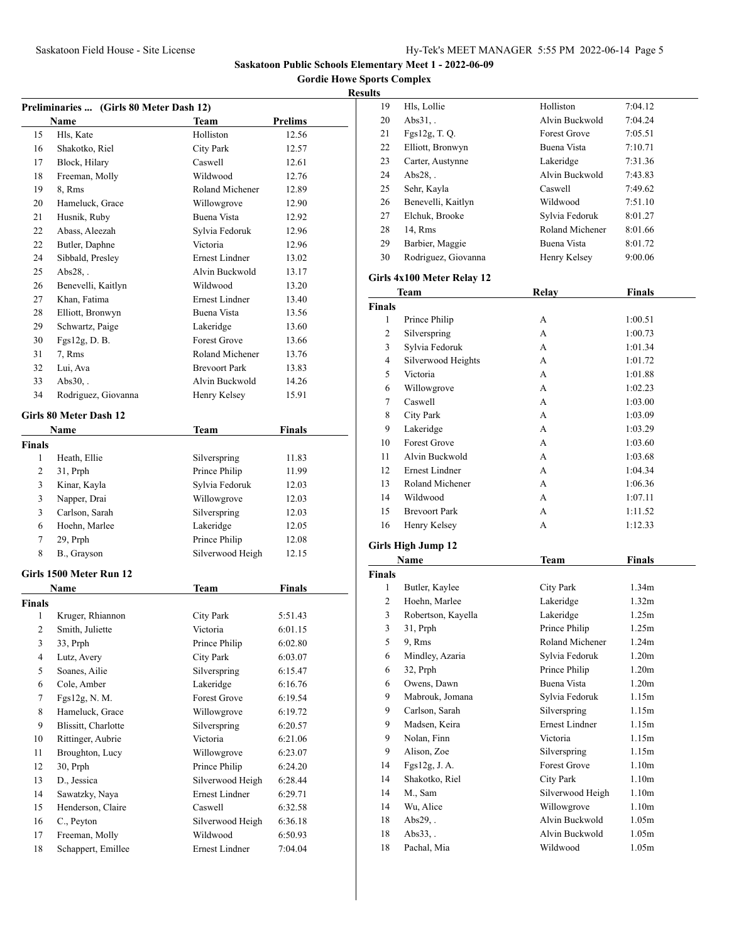**Gordie Howe Sports Complex**

# **Results**

| Preliminaries  (Girls 80 Meter Dash 12) |                               |                       |                |  |
|-----------------------------------------|-------------------------------|-----------------------|----------------|--|
|                                         | Name                          | Team                  | <b>Prelims</b> |  |
| 15                                      | Hls, Kate                     | Holliston             | 12.56          |  |
| 16                                      | Shakotko, Riel                | <b>City Park</b>      | 12.57          |  |
| 17                                      | Block, Hilary                 | Caswell               | 12.61          |  |
| 18                                      | Freeman, Molly                | Wildwood              | 12.76          |  |
| 19                                      | 8, Rms                        | Roland Michener       | 12.89          |  |
| 20                                      | Hameluck, Grace               | Willowgrove           | 12.90          |  |
| 21                                      | Husnik, Ruby                  | Buena Vista           | 12.92          |  |
| 22                                      | Abass, Aleezah                | Sylvia Fedoruk        | 12.96          |  |
| 22                                      | Butler, Daphne                | Victoria              | 12.96          |  |
| 24                                      | Sibbald, Presley              | <b>Ernest Lindner</b> | 13.02          |  |
| 25                                      | $Abs28.$ .                    | Alvin Buckwold        | 13.17          |  |
| 26                                      | Benevelli, Kaitlyn            | Wildwood              | 13.20          |  |
| 27                                      | Khan, Fatima                  | <b>Ernest Lindner</b> | 13.40          |  |
| 28                                      | Elliott, Bronwyn              | Buena Vista           | 13.56          |  |
| 29                                      | Schwartz, Paige               | Lakeridge             | 13.60          |  |
| 30                                      | Fgs12g, D.B.                  | <b>Forest Grove</b>   | 13.66          |  |
| 31                                      | 7, Rms                        | Roland Michener       | 13.76          |  |
| 32                                      | Lui, Ava                      | <b>Brevoort Park</b>  | 13.83          |  |
| 33                                      | $Abs30,$ .                    | Alvin Buckwold        | 14.26          |  |
| 34                                      | Rodriguez, Giovanna           | Henry Kelsey          | 15.91          |  |
|                                         |                               |                       |                |  |
|                                         | <b>Girls 80 Meter Dash 12</b> |                       |                |  |
|                                         | Name                          | Team                  | <b>Finals</b>  |  |
| Finals                                  |                               |                       |                |  |
| 1                                       | Heath, Ellie                  | Silverspring          | 11.83          |  |
| 2                                       | $31$ , Prph                   | Prince Philip         | 11.99          |  |
| 3                                       | Kinar, Kayla                  | Sylvia Fedoruk        | 12.03          |  |
| 3                                       | Napper, Drai                  | Willowgrove           | 12.03          |  |
| 3                                       | Carlson, Sarah                | Silverspring          | 12.03          |  |
| 6                                       | Hoehn, Marlee                 | Lakeridge             | 12.05          |  |
| 7                                       | 29, Prph                      | Prince Philip         | 12.08          |  |
| 8                                       | B., Grayson                   | Silverwood Heigh      | 12.15          |  |
|                                         | Girls 1500 Meter Run 12       |                       |                |  |
|                                         | Name                          | <b>Team</b>           | <b>Finals</b>  |  |
| Finals                                  |                               |                       |                |  |
| 1                                       | Kruger, Rhiannon              | <b>City Park</b>      | 5:51.43        |  |
| $\overline{2}$                          | Smith, Juliette               | Victoria              | 6:01.15        |  |
| 3                                       | 33, Prph                      | Prince Philip         | 6:02.80        |  |
| $\overline{4}$                          | Lutz, Avery                   | <b>City Park</b>      | 6:03.07        |  |
| 5                                       | Soanes, Ailie                 | Silverspring          | 6:15.47        |  |
| 6                                       | Cole, Amber                   | Lakeridge             | 6:16.76        |  |
| $\tau$                                  | Fgs12g, N. M.                 | Forest Grove          | 6:19.54        |  |
| $\,$ 8 $\,$                             | Hameluck, Grace               | Willowgrove           | 6:19.72        |  |
| 9                                       | Blissitt, Charlotte           | Silverspring          | 6:20.57        |  |
| 10                                      | Rittinger, Aubrie             | Victoria              | 6:21.06        |  |
| 11                                      | Broughton, Lucy               | Willowgrove           | 6:23.07        |  |
| $12\,$                                  | 30, Prph                      | Prince Philip         | 6:24.20        |  |
| 13                                      | D., Jessica                   | Silverwood Heigh      | 6:28.44        |  |
| 14                                      | Sawatzky, Naya                | Ernest Lindner        | 6:29.71        |  |
| 15                                      | Henderson, Claire             | Caswell               | 6:32.58        |  |
| 16                                      | C., Peyton                    | Silverwood Heigh      | 6:36.18        |  |
| 17                                      | Freeman, Molly                | Wildwood              | 6:50.93        |  |
| 18                                      | Schappert, Emillee            | Ernest Lindner        | 7:04.04        |  |

| ults          |                            |                     |         |  |
|---------------|----------------------------|---------------------|---------|--|
| 19            | Hls, Lollie                | Holliston           | 7:04.12 |  |
| 20            | Abs31.                     | Alvin Buckwold      | 7:04.24 |  |
| 21            | $Fgs12g$ , T.Q.            | <b>Forest Grove</b> | 7:05.51 |  |
| 22            | Elliott, Bronwyn           | Buena Vista         | 7:10.71 |  |
| 23            | Carter, Austynne           | Lakeridge           | 7:31.36 |  |
| 24            | $Abs28.$ .                 | Alvin Buckwold      | 7:43.83 |  |
| 25            | Sehr, Kayla                | Caswell             | 7:49.62 |  |
| 26            | Benevelli, Kaitlyn         | Wildwood            | 7:51.10 |  |
| 27            | Elchuk, Brooke             | Sylvia Fedoruk      | 8:01.27 |  |
| 28            | 14, Rms                    | Roland Michener     | 8:01.66 |  |
| 29            | Barbier, Maggie            | Buena Vista         | 8:01.72 |  |
| 30            | Rodriguez, Giovanna        | Henry Kelsey        | 9:00.06 |  |
|               | Girls 4x100 Meter Relay 12 |                     |         |  |
|               | <b>Team</b>                | Relay               | Finals  |  |
| <b>Finals</b> |                            |                     |         |  |
| 1             | Prince Philip              | A                   | 1:00.51 |  |
| 2             | Silverspring               | A                   | 1:00.73 |  |
|               |                            |                     |         |  |

| $\overline{c}$ | Silverspring          | А | 1:00.73 |
|----------------|-----------------------|---|---------|
| 3              | Sylvia Fedoruk        | А | 1:01.34 |
| $\overline{4}$ | Silverwood Heights    | А | 1:01.72 |
| 5              | Victoria              | А | 1:01.88 |
| 6              | Willowgrove           | А | 1:02.23 |
| 7              | Caswell               | А | 1:03.00 |
| 8              | City Park             | А | 1:03.09 |
| 9              | Lakeridge             | А | 1:03.29 |
| 10             | <b>Forest Grove</b>   | А | 1:03.60 |
| 11             | Alvin Buckwold        | А | 1:03.68 |
| 12             | <b>Ernest Lindner</b> | А | 1:04.34 |
| 13             | Roland Michener       | А | 1:06.36 |
| 14             | Wildwood              | А | 1:07.11 |
| 15             | <b>Brevoort Park</b>  | А | 1:11.52 |
| 16             | Henry Kelsey          | А | 1:12.33 |

# **Girls High Jump 12**

|        | Name               | Team                  | <b>Finals</b>     |
|--------|--------------------|-----------------------|-------------------|
| Finals |                    |                       |                   |
| 1      | Butler, Kaylee     | City Park             | 1.34 <sub>m</sub> |
| 2      | Hoehn, Marlee      | Lakeridge             | 1.32 <sub>m</sub> |
| 3      | Robertson, Kayella | Lakeridge             | 1.25m             |
| 3      | $31$ , Prph        | Prince Philip         | 1.25m             |
| 5      | 9, Rms             | Roland Michener       | 1.24m             |
| 6      | Mindley, Azaria    | Sylvia Fedoruk        | 1.20 <sub>m</sub> |
| 6      | 32, Prph           | Prince Philip         | 1.20 <sub>m</sub> |
| 6      | Owens, Dawn        | Buena Vista           | 1.20 <sub>m</sub> |
| 9      | Mabrouk, Jomana    | Sylvia Fedoruk        | 1.15m             |
| 9      | Carlson, Sarah     | Silverspring          | 1.15m             |
| 9      | Madsen, Keira      | <b>Ernest Lindner</b> | 1.15m             |
| 9      | Nolan, Finn        | Victoria              | 1.15m             |
| 9      | Alison, Zoe        | Silverspring          | 1.15m             |
| 14     | Fgs12g, J. A.      | <b>Forest Grove</b>   | 1.10 <sub>m</sub> |
| 14     | Shakotko, Riel     | City Park             | 1.10 <sub>m</sub> |
| 14     | M., Sam            | Silverwood Heigh      | 1.10 <sub>m</sub> |
| 14     | Wu, Alice          | Willowgrove           | 1.10 <sub>m</sub> |
| 18     | $Abs29.$ .         | Alvin Buckwold        | 1.05m             |
| 18     | Abs33, .           | Alvin Buckwold        | 1.05m             |
| 18     | Pachal, Mia        | Wildwood              | 1.05m             |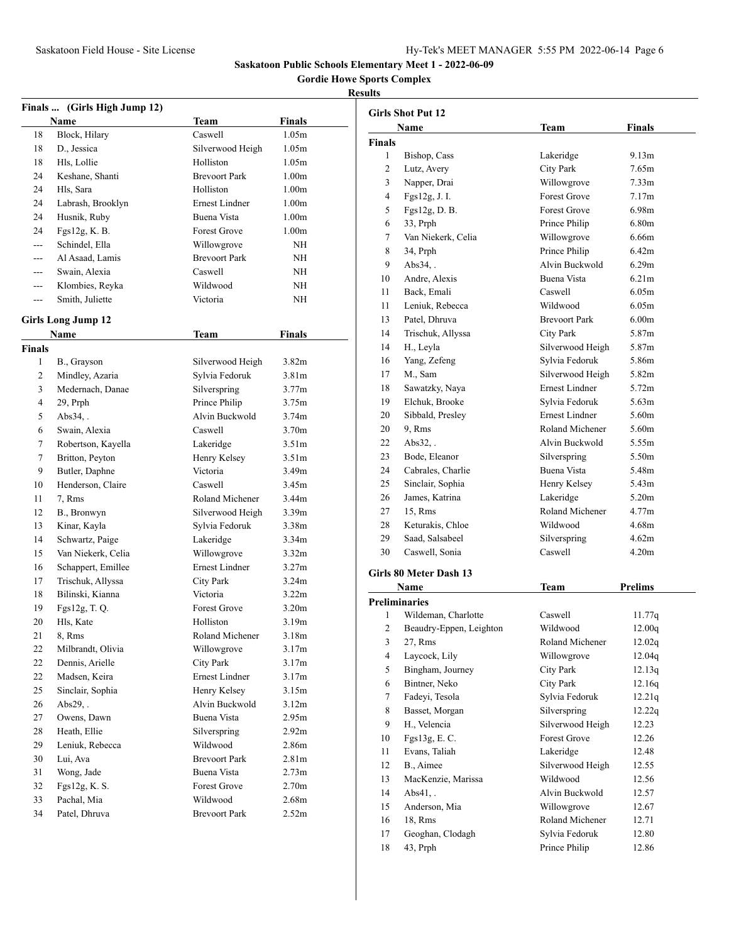**Gordie Howe Sports Complex**

|               | Finals  (Girls High Jump 12) |                       |                   |
|---------------|------------------------------|-----------------------|-------------------|
|               | Name                         | <b>Team</b>           | <b>Finals</b>     |
| 18            | Block, Hilary                | Caswell               | 1.05m             |
| 18            | D., Jessica                  | Silverwood Heigh      | 1.05m             |
| 18            | Hls. Lollie                  | Holliston             | 1.05m             |
| 24            | Keshane, Shanti              | <b>Brevoort Park</b>  | 1.00 <sub>m</sub> |
| 24            | Hls. Sara                    | Holliston             | 1.00 <sub>m</sub> |
| 24            | Labrash, Brooklyn            | <b>Ernest Lindner</b> | 1.00 <sub>m</sub> |
| 24            | Husnik, Ruby                 | <b>Buena Vista</b>    | 1.00 <sub>m</sub> |
| 24            | Fgs12g, K. B.                | <b>Forest Grove</b>   | 1.00 <sub>m</sub> |
| ---           | Schindel, Ella               | Willowgrove           | NΗ                |
|               | Al Asaad, Lamis              | <b>Brevoort Park</b>  | ΝH                |
| ---           | Swain, Alexia                | Caswell               | NΗ                |
| $---$         | Klombies, Reyka              | Wildwood              | ΝH                |
| $---$         | Smith, Juliette              | Victoria              | NΗ                |
|               |                              |                       |                   |
|               | <b>Girls Long Jump 12</b>    |                       |                   |
|               | <b>Name</b>                  | Team                  | <b>Finals</b>     |
| <b>Finals</b> |                              |                       |                   |
| 1             | B., Grayson                  | Silverwood Heigh      | 3.82 <sub>m</sub> |
| 2             | Mindley, Azaria              | Sylvia Fedoruk        | 3.81 <sub>m</sub> |
| 3             | Medernach, Danae             | Silverspring          | 3.77 <sub>m</sub> |
| 4             | 29, Prph                     | Prince Philip         | 3.75m             |
| 5             | Abs34,.                      | Alvin Buckwold        | 3.74 <sub>m</sub> |
| 6             | Swain, Alexia                | Caswell               | 3.70 <sub>m</sub> |
| 7             | Robertson, Kayella           | Lakeridge             | 3.51 <sub>m</sub> |
| 7             | Britton, Peyton              | Henry Kelsey          | 3.51 <sub>m</sub> |
| 9             | Butler, Daphne               | Victoria              | 3.49 <sub>m</sub> |
| 10            | Henderson, Claire            | Caswell               | 3.45m             |
| 11            | 7, Rms                       | Roland Michener       | 3.44m             |
| 12            | B., Bronwyn                  | Silverwood Heigh      | 3.39 <sub>m</sub> |
| 13            | Kinar, Kayla                 | Sylvia Fedoruk        | 3.38m             |
| 14            | Schwartz, Paige              | Lakeridge             | 3.34 <sub>m</sub> |
| 15            | Van Niekerk, Celia           | Willowgrove           | 3.32 <sub>m</sub> |
| 16            | Schappert, Emillee           | <b>Ernest Lindner</b> | 3.27 <sub>m</sub> |
| 17            | Trischuk, Allyssa            | City Park             | 3.24m             |
| 18            | Bilinski, Kianna             | Victoria              | 3.22m             |
| 19            | Fgs12g, T. Q.                | <b>Forest Grove</b>   | 3.20 <sub>m</sub> |
| 20            | Hls, Kate                    | Holliston             | 3.19m             |
| 21            | 8, Rms                       | Roland Michener       | 3.18m             |
| 22            | Milbrandt, Olivia            | Willowgrove           | 3.17m             |
| 22            | Dennis, Arielle              | <b>City Park</b>      | 3.17m             |
| 22            | Madsen, Keira                | Ernest Lindner        | 3.17m             |
| 25            | Sinclair, Sophia             | Henry Kelsey          | 3.15m             |
| 26            | $Abs29.$ .                   | Alvin Buckwold        | 3.12m             |
| 27            | Owens, Dawn                  | Buena Vista           | 2.95m             |
| 28            | Heath, Ellie                 | Silverspring          | 2.92 <sub>m</sub> |
| 29            | Leniuk, Rebecca              | Wildwood              | 2.86m             |
| 30            | Lui, Ava                     | <b>Brevoort Park</b>  | 2.81 <sub>m</sub> |
| 31            | Wong, Jade                   | Buena Vista           | 2.73 <sub>m</sub> |
| 32            | Fgs12g, K. S.                | Forest Grove          | 2.70m             |
| 33            | Pachal, Mia                  | Wildwood              | 2.68m             |
| 34            | Patel, Dhruva                | <b>Brevoort Park</b>  | 2.52m             |
|               |                              |                       |                   |

|               | <b>Girls Shot Put 12</b> |                      |                   |
|---------------|--------------------------|----------------------|-------------------|
|               | Name                     | Team                 | <b>Finals</b>     |
| <b>Finals</b> |                          |                      |                   |
| 1             | Bishop, Cass             | Lakeridge            | 9.13 <sub>m</sub> |
| 2             | Lutz, Avery              | <b>City Park</b>     | 7.65m             |
| 3             | Napper, Drai             | Willowgrove          | 7.33m             |
| 4             | Fgs12g, J. I.            | <b>Forest Grove</b>  | 7.17m             |
| 5             | Fgs12g, D. B.            | <b>Forest Grove</b>  | 6.98m             |
| 6             | 33, Prph                 | Prince Philip        | 6.80 <sub>m</sub> |
| 7             | Van Niekerk, Celia       | Willowgrove          | 6.66m             |
| 8             | 34, Prph                 | Prince Philip        | 6.42m             |
| 9             | Abs34,.                  | Alvin Buckwold       | 6.29m             |
| 10            | Andre, Alexis            | <b>Buena Vista</b>   | 6.21 <sub>m</sub> |
| 11            | Back, Emali              | Caswell              | 6.05m             |
| 11            | Leniuk, Rebecca          | Wildwood             | 6.05m             |
| 13            | Patel, Dhruva            | <b>Brevoort Park</b> | 6.00 <sub>m</sub> |
| 14            | Trischuk, Allyssa        | <b>City Park</b>     | 5.87m             |
| 14            | H., Leyla                | Silverwood Heigh     | 5.87m             |
| 16            | Yang, Zefeng             | Sylvia Fedoruk       | 5.86m             |
| 17            | M., Sam                  | Silverwood Heigh     | 5.82m             |
| 18            | Sawatzky, Naya           | Ernest Lindner       | 5.72m             |
| 19            | Elchuk, Brooke           | Sylvia Fedoruk       | 5.63m             |
| 20            | Sibbald, Presley         | Ernest Lindner       | 5.60m             |
| 20            | 9. Rms                   | Roland Michener      | 5.60m             |
| 22            | Abs32                    | Alvin Buckwold       | 5.55m             |
| 23            | Bode, Eleanor            | Silverspring         | 5.50m             |
| 24            | Cabrales, Charlie        | Buena Vista          | 5.48m             |
| 25            | Sinclair, Sophia         | Henry Kelsey         | 5.43m             |
| 26            | James, Katrina           | Lakeridge            | 5.20m             |
| 27            | 15, Rms                  | Roland Michener      | 4.77m             |
| 28            | Keturakis, Chloe         | Wildwood             | 4.68m             |
| 29            | Saad, Salsabeel          | Silverspring         | 4.62m             |
| 30            | Caswell, Sonia           | Caswell              | 4.20m             |
|               | Girls 80 Meter Dash 13   |                      |                   |
|               | Name                     | <b>Team</b>          | <b>Prelims</b>    |
|               | <b>Preliminaries</b>     |                      |                   |
| 1             | Wildeman, Charlotte      | Caswell              | 11.77q            |

| 1  | Wildeman, Charlotte     | Caswell             | 11.77q |
|----|-------------------------|---------------------|--------|
| 2  | Beaudry-Eppen, Leighton | Wildwood            | 12.00q |
| 3  | 27, Rms                 | Roland Michener     | 12.02q |
| 4  | Laycock, Lily           | Willowgrove         | 12.04q |
| 5  | Bingham, Journey        | City Park           | 12.13q |
| 6  | Bintner, Neko           | City Park           | 12.16q |
| 7  | Fadeyi, Tesola          | Sylvia Fedoruk      | 12.21q |
| 8  | Basset, Morgan          | Silverspring        | 12.22q |
| 9  | H., Velencia            | Silverwood Heigh    | 12.23  |
| 10 | Fgs13g, E. C.           | <b>Forest Grove</b> | 12.26  |
| 11 | Evans, Taliah           | Lakeridge           | 12.48  |
| 12 | B., Aimee               | Silverwood Heigh    | 12.55  |
| 13 | MacKenzie, Marissa      | Wildwood            | 12.56  |
| 14 | Abs41.                  | Alvin Buckwold      | 12.57  |
| 15 | Anderson, Mia           | Willowgrove         | 12.67  |
| 16 | 18, Rms                 | Roland Michener     | 12.71  |
| 17 | Geoghan, Clodagh        | Sylvia Fedoruk      | 12.80  |
| 18 | 43, Prph                | Prince Philip       | 12.86  |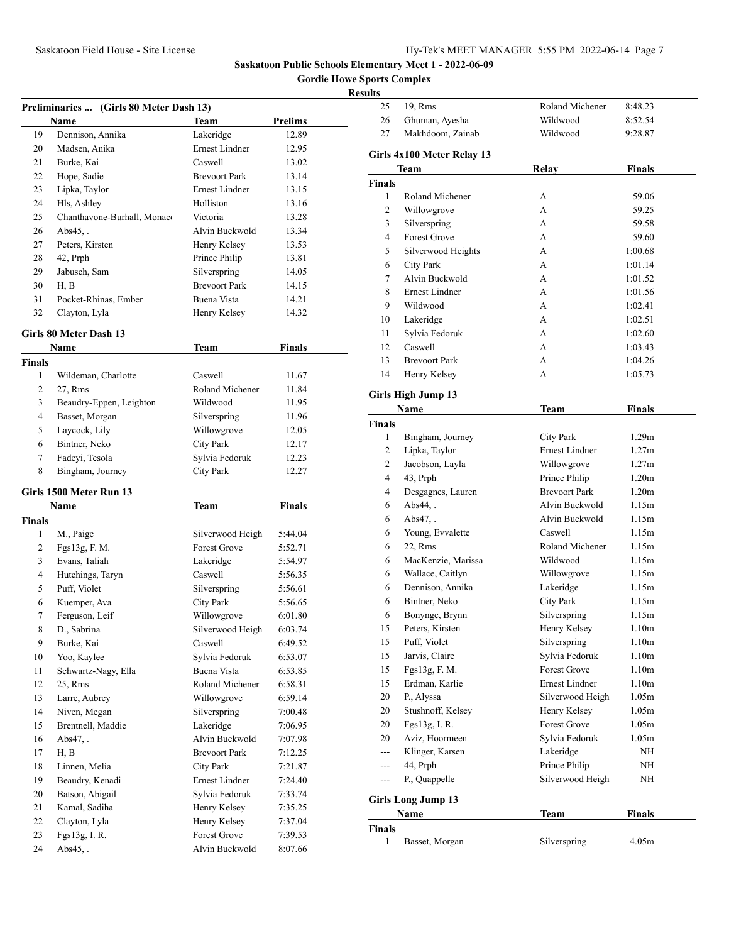**Gordie Howe Sports Complex**

| Preliminaries  (Girls 80 Meter Dash 13) |                                  |                                |                    |  |
|-----------------------------------------|----------------------------------|--------------------------------|--------------------|--|
|                                         | Name                             | <b>Team</b>                    | <b>Prelims</b>     |  |
| 19                                      | Dennison, Annika                 | Lakeridge                      | 12.89              |  |
| 20                                      | Madsen, Anika                    | Ernest Lindner                 | 12.95              |  |
| 21                                      | Burke, Kai                       | Caswell                        | 13.02              |  |
| 22                                      | Hope, Sadie                      | <b>Brevoort Park</b>           | 13.14              |  |
| 23                                      | Lipka, Taylor                    | <b>Ernest Lindner</b>          | 13.15              |  |
| 24                                      | Hls, Ashley                      | Holliston                      | 13.16              |  |
| 25                                      | Chanthavone-Burhall, Monaco      | Victoria                       | 13.28              |  |
| 26                                      | Abs $45$ .                       | Alvin Buckwold                 | 13.34              |  |
| 27                                      | Peters, Kirsten                  | Henry Kelsey                   | 13.53              |  |
| 28                                      | 42, Prph                         | Prince Philip                  | 13.81              |  |
| 29                                      | Jabusch, Sam                     | Silverspring                   | 14.05              |  |
| 30                                      | H, B                             | <b>Brevoort Park</b>           | 14.15              |  |
| 31                                      | Pocket-Rhinas, Ember             | Buena Vista                    | 14.21              |  |
| 32                                      | Clayton, Lyla                    | Henry Kelsey                   | 14.32              |  |
|                                         | Girls 80 Meter Dash 13           |                                |                    |  |
|                                         | Name                             | Team                           | <b>Finals</b>      |  |
| <b>Finals</b>                           |                                  |                                |                    |  |
| 1                                       | Wildeman, Charlotte              | Caswell                        | 11.67              |  |
| 2                                       | 27, Rms                          | Roland Michener                | 11.84              |  |
| 3                                       | Beaudry-Eppen, Leighton          | Wildwood                       | 11.95              |  |
| $\overline{4}$                          | Basset, Morgan                   | Silverspring                   | 11.96              |  |
| 5                                       | Laycock, Lily                    | Willowgrove                    | 12.05              |  |
| 6                                       | Bintner, Neko                    | <b>City Park</b>               | 12.17              |  |
| 7                                       | Fadeyi, Tesola                   | Sylvia Fedoruk                 | 12.23              |  |
| 8                                       | Bingham, Journey                 | <b>City Park</b>               | 12.27              |  |
|                                         |                                  |                                |                    |  |
|                                         | Girls 1500 Meter Run 13          |                                |                    |  |
|                                         | Name                             | Team                           | <b>Finals</b>      |  |
| Finals                                  |                                  |                                |                    |  |
| 1                                       | M., Paige                        | Silverwood Heigh               | 5:44.04            |  |
| $\overline{2}$                          | Fgs13g, F. M.                    | Forest Grove                   | 5:52.71            |  |
| 3                                       | Evans, Taliah                    | Lakeridge                      | 5:54.97            |  |
| 4                                       | Hutchings, Taryn                 | Caswell                        | 5:56.35            |  |
| 5                                       | Puff, Violet                     | Silverspring                   | 5:56.61            |  |
| 6                                       | Kuemper, Ava                     | <b>City Park</b>               | 5:56.65            |  |
| 7                                       | Ferguson, Leif                   | Willowgrove                    | 6:01.80            |  |
| 8                                       | D., Sabrina                      | Silverwood Heigh               | 6:03.74            |  |
| 9                                       | Burke, Kai                       | Caswell                        | 6:49.52            |  |
| 10                                      | Yoo, Kaylee                      | Sylvia Fedoruk<br>Buena Vista  | 6:53.07            |  |
| 11                                      | Schwartz-Nagy, Ella              |                                | 6:53.85            |  |
| 12                                      | 25, Rms                          | Roland Michener<br>Willowgrove | 6:58.31            |  |
| 13<br>14                                | Larre, Aubrey                    | Silverspring                   | 6:59.14            |  |
|                                         | Niven, Megan                     |                                | 7:00.48            |  |
| 15                                      | Brentnell, Maddie                | Lakeridge<br>Alvin Buckwold    | 7:06.95            |  |
| 16                                      | $Abs47.$ .<br>H, B               | <b>Brevoort Park</b>           | 7:07.98            |  |
| 17                                      |                                  | <b>City Park</b>               | 7:12.25            |  |
| 18                                      | Linnen, Melia<br>Beaudry, Kenadi | Ernest Lindner                 | 7:21.87<br>7:24.40 |  |
| 19<br>20                                | Batson, Abigail                  | Sylvia Fedoruk                 | 7:33.74            |  |
| 21                                      | Kamal, Sadiha                    | Henry Kelsey                   | 7:35.25            |  |
| 22                                      | Clayton, Lyla                    | Henry Kelsey                   | 7:37.04            |  |
| 23                                      | Fgs13g, I. R.                    | Forest Grove                   | 7:39.53            |  |
| 24                                      | $Abs45,$ .                       | Alvin Buckwold                 | 8:07.66            |  |
|                                         |                                  |                                |                    |  |

| ults          |                            |                      |                   |
|---------------|----------------------------|----------------------|-------------------|
| 25            | 19, Rms                    | Roland Michener      | 8:48.23           |
| 26            | Ghuman, Ayesha             | Wildwood             | 8:52.54           |
| 27            | Makhdoom, Zainab           | Wildwood             | 9:28.87           |
|               | Girls 4x100 Meter Relay 13 |                      |                   |
|               | Team                       | Relay                | Finals            |
| Finals        |                            |                      |                   |
| 1             | Roland Michener            | А                    | 59.06             |
| 2             | Willowgrove                | A                    | 59.25             |
| 3             | Silverspring               | A                    | 59.58             |
| 4             | <b>Forest Grove</b>        | A                    | 59.60             |
| 5             | Silverwood Heights         | A                    | 1:00.68           |
| 6             | <b>City Park</b>           | A                    | 1:01.14           |
| 7             | Alvin Buckwold             | A                    | 1:01.52           |
| 8             | <b>Ernest Lindner</b>      | A                    | 1:01.56           |
| 9             | Wildwood                   | A                    | 1:02.41           |
| 10            | Lakeridge                  | A                    | 1:02.51           |
| 11            | Sylvia Fedoruk             | А                    | 1:02.60           |
| 12            | Caswell                    | А                    | 1:03.43           |
| 13            | <b>Brevoort Park</b>       | А                    | 1:04.26           |
| 14            | Henry Kelsey               | А                    | 1:05.73           |
|               | <b>Girls High Jump 13</b>  |                      |                   |
|               | Name                       | Team                 | Finals            |
| <b>Finals</b> |                            |                      |                   |
| 1             | Bingham, Journey           | City Park            | 1.29m             |
| 2             | Lipka, Taylor              | Ernest Lindner       | 1.27m             |
| 2             | Jacobson, Layla            | Willowgrove          | 1.27m             |
| 4             | 43, Prph                   | Prince Philip        | 1.20 <sub>m</sub> |
| 4             | Desgagnes, Lauren          | <b>Brevoort Park</b> | 1.20 <sub>m</sub> |
| 6             | Abs44,.                    | Alvin Buckwold       | 1.15m             |
| 6             | Abs $47.$ .                | Alvin Buckwold       | 1.15m             |
| 6             | Young, Evvalette           | Caswell              | 1.15m             |
| 6             | 22, Rms                    | Roland Michener      | 1.15m             |
| 6             | MacKenzie, Marissa         | Wildwood             | 1.15m             |
| 6             | Wallace, Caitlyn           | Willowgrove          | 1.15m             |
| 6             | Dennison, Annika           | Lakeridge            | 1.15m             |
| 6             | Bintner, Neko              | City Park            | 1.15m             |
| 6             | Bonynge, Brynn             | Silverspring         | 1.15m             |
| 15            | Peters, Kirsten            | Henry Kelsey         | 1.10 <sub>m</sub> |
| 15            | Puff, Violet               | Silverspring         | 1.10 <sub>m</sub> |
| 15            | Jarvis, Claire             | Sylvia Fedoruk       | 1.10 <sub>m</sub> |
| 15            | Fgs13g, F. M.              | Forest Grove         | 1.10 <sub>m</sub> |
| 15            | Erdman, Karlie             | Ernest Lindner       | 1.10 <sub>m</sub> |
| 20            | P., Alyssa                 | Silverwood Heigh     | 1.05m             |
| 20            | Stushnoff, Kelsey          | Henry Kelsey         | 1.05m             |
| 20            | Fgs13g, I.R.               | Forest Grove         | 1.05m             |
| 20            | Aziz, Hoormeen             | Sylvia Fedoruk       | 1.05m             |
| $---$         | Klinger, Karsen            | Lakeridge            | ΝH                |
| $---$         | 44, Prph                   | Prince Philip        | ΝH                |
| $---$         | P., Quappelle              | Silverwood Heigh     | NΗ                |
|               | <b>Girls Long Jump 13</b>  |                      |                   |
|               | Name                       | <b>Team</b>          | <b>Finals</b>     |
| <b>Finals</b> |                            |                      |                   |
| 1             | Basset, Morgan             | Silverspring         | 4.05m             |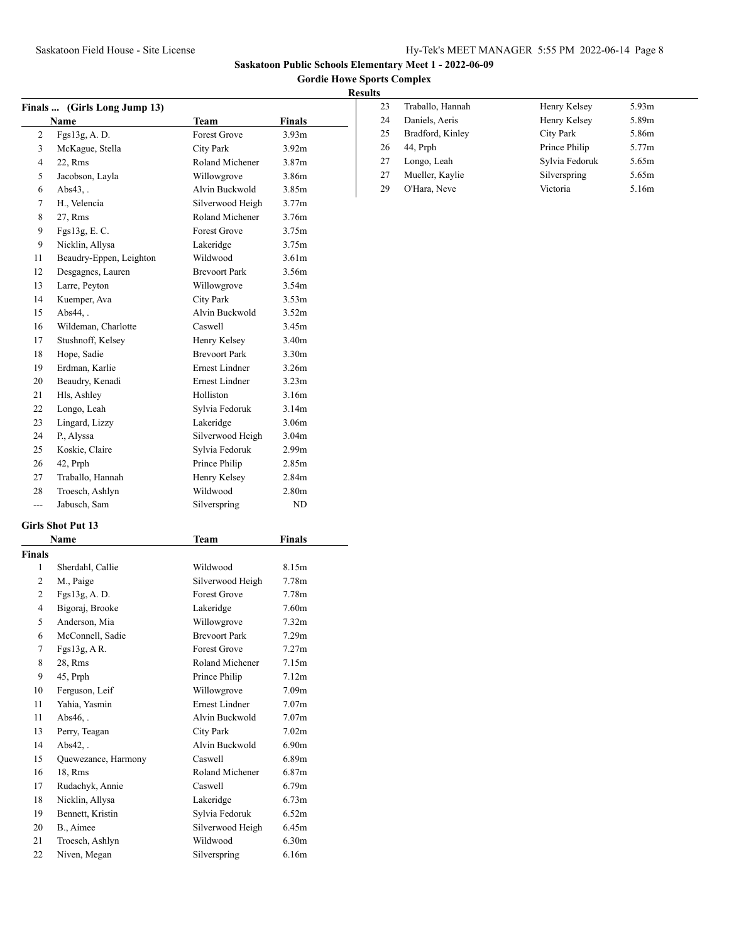**Gordie Howe Sports Complex**

# **Results**

| 23 | Traballo, Hannah | Henry Kelsey   | 5.93m |
|----|------------------|----------------|-------|
| 24 | Daniels, Aeris   | Henry Kelsey   | 5.89m |
| 25 | Bradford, Kinley | City Park      | 5.86m |
| 26 | 44, Prph         | Prince Philip  | 5.77m |
| 27 | Longo, Leah      | Sylvia Fedoruk | 5.65m |
| 27 | Mueller, Kaylie  | Silverspring   | 5.65m |
| 29 | O'Hara, Neve     | Victoria       | 5.16m |

| <b>Finals …</b> | (Girls Long Jump 13)    |                       |                   |  |
|-----------------|-------------------------|-----------------------|-------------------|--|
|                 | Name                    | <b>Team</b>           | <b>Finals</b>     |  |
| 2               | Fgs13g, A.D.            | <b>Forest Grove</b>   | 3.93 <sub>m</sub> |  |
| 3               | McKague, Stella         | City Park             | 3.92 <sub>m</sub> |  |
| $\overline{4}$  | 22, Rms                 | Roland Michener       | 3.87 <sub>m</sub> |  |
| 5               | Jacobson, Layla         | Willowgrove           | 3.86m             |  |
| 6               | $Abs43.$ .              | Alvin Buckwold        | 3.85 <sub>m</sub> |  |
| 7               | H., Velencia            | Silverwood Heigh      | 3.77m             |  |
| 8               | 27, Rms                 | Roland Michener       | 3.76m             |  |
| 9               | Fgs13g, E.C.            | <b>Forest Grove</b>   | 3.75m             |  |
| 9               | Nicklin, Allysa         | Lakeridge             | 3.75m             |  |
| 11              | Beaudry-Eppen, Leighton | Wildwood              | 3.61 <sub>m</sub> |  |
| 12              | Desgagnes, Lauren       | <b>Brevoort Park</b>  | 3.56m             |  |
| 13              | Larre, Peyton           | Willowgrove           | 3.54m             |  |
| 14              | Kuemper, Ava            | <b>City Park</b>      | 3.53 <sub>m</sub> |  |
| 15              | Abs $44$ .              | Alvin Buckwold        | 3.52m             |  |
| 16              | Wildeman, Charlotte     | Caswell               | 3.45m             |  |
| 17              | Stushnoff, Kelsey       | Henry Kelsey          | 3.40 <sub>m</sub> |  |
| 18              | Hope, Sadie             | <b>Brevoort Park</b>  | 3.30 <sub>m</sub> |  |
| 19              | Erdman, Karlie          | <b>Ernest Lindner</b> | 3.26m             |  |
| 20              | Beaudry, Kenadi         | <b>Ernest Lindner</b> | 3.23 <sub>m</sub> |  |
| 21              | Hls, Ashley             | Holliston             | 3.16m             |  |
| 22              | Longo, Leah             | Sylvia Fedoruk        | 3.14m             |  |
| 23              | Lingard, Lizzy          | Lakeridge             | 3.06m             |  |
| 24              | P., Alyssa              | Silverwood Heigh      | 3.04 <sub>m</sub> |  |
| 25              | Koskie, Claire          | Sylvia Fedoruk        | 2.99m             |  |
| 26              | 42, Prph                | Prince Philip         | 2.85m             |  |
| 27              | Traballo, Hannah        | Henry Kelsey          | 2.84m             |  |
| 28              | Troesch, Ashlyn         | Wildwood              | 2.80m             |  |
| ---             | Jabusch, Sam            | Silverspring          | ND                |  |
|                 | Girls Shot Put 13       |                       |                   |  |
|                 |                         |                       |                   |  |
|                 | Name                    | Team                  | Finals            |  |
| Finals          |                         |                       |                   |  |
| 1               | Sherdahl, Callie        | Wildwood              | 8.15m             |  |
| 2               | M., Paige               | Silverwood Heigh      | 7.78m             |  |
| 2               | Fgs13g, A. D.           | Forest Grove          | 7.78m             |  |
| $\overline{4}$  | Bigoraj, Brooke         | Lakeridge             | 7.60m             |  |
| 5               | Anderson, Mia           | Willowgrove           | 7.32m             |  |
| 6               | McConnell, Sadie        | <b>Brevoort Park</b>  | 7.29m             |  |
| 7               | Fgs13g, A R.            | Forest Grove          | 7.27m             |  |
| 8               | 28, Rms                 | Roland Michener       | 7.15m             |  |
| 9               | 45, Prph                | Prince Philip         | 7.12m             |  |
| 10              |                         |                       |                   |  |
|                 | Ferguson, Leif          | Willowgrove           | 7.09m             |  |
| 11              | Yahia, Yasmin           | <b>Ernest Lindner</b> | 7.07 <sub>m</sub> |  |
| 11              | $Abs46.$ .              | Alvin Buckwold        | 7.07 <sub>m</sub> |  |
| 13              | Perry, Teagan           | City Park             | 7.02 <sub>m</sub> |  |
| 14              | $Abs42,$ .              | Alvin Buckwold        | 6.90 <sub>m</sub> |  |
| 15              | Quewezance, Harmony     | Caswell               | 6.89m             |  |
| 16              | 18, Rms                 | Roland Michener       | 6.87 <sub>m</sub> |  |
| 17              | Rudachyk, Annie         | Caswell               | 6.79 <sub>m</sub> |  |
| 18              | Nicklin, Allysa         | Lakeridge             | 6.73m             |  |
| 19              | Bennett, Kristin        | Sylvia Fedoruk        | 6.52m             |  |

 Troesch, Ashlyn Wildwood 6.30m 22 Niven, Megan Silverspring 6.16m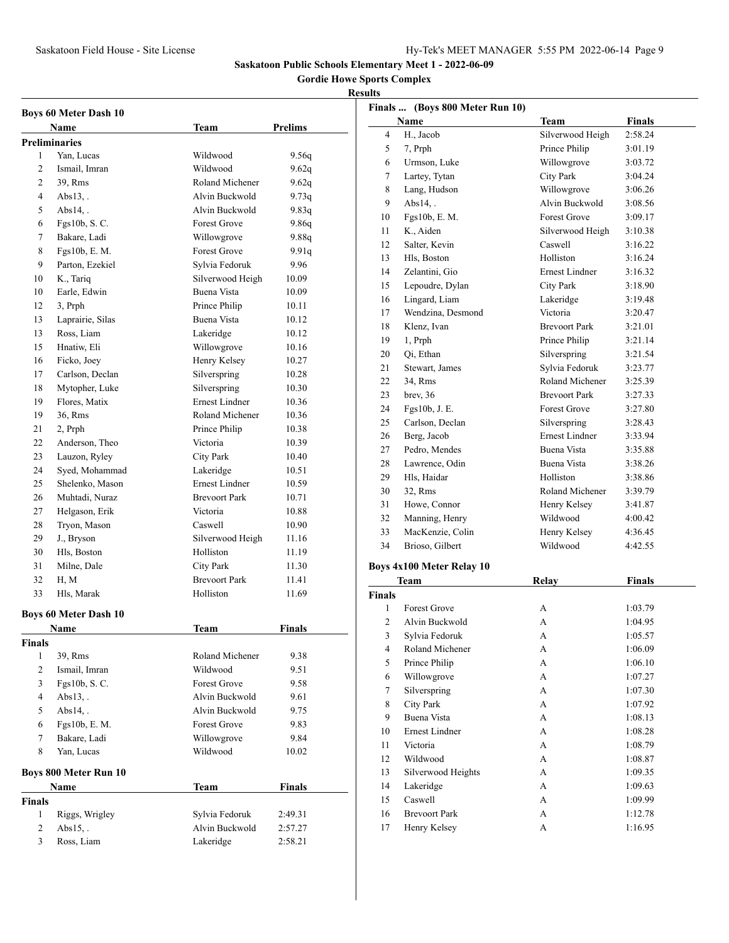**Gordie Howe Sports Complex**

# **Results**

| <b>Boys 60 Meter Dash 10</b> |                              |                                    |                |  |  |  |
|------------------------------|------------------------------|------------------------------------|----------------|--|--|--|
|                              | Name                         | Team                               | <b>Prelims</b> |  |  |  |
|                              | <b>Preliminaries</b>         |                                    |                |  |  |  |
| 1                            | Yan. Lucas                   | Wildwood                           | 9.56q          |  |  |  |
| 2                            | Ismail, Imran                | Wildwood                           | 9.62q          |  |  |  |
| $\overline{2}$               | 39, Rms                      | Roland Michener                    | 9.62q          |  |  |  |
| 4                            | $Abs13.$ .                   | Alvin Buckwold                     | 9.73q          |  |  |  |
| 5                            | Abs $14$ .                   | Alvin Buckwold                     | 9.83q          |  |  |  |
| 6                            | Fgs10b, S. C.                | <b>Forest Grove</b>                | 9.86q          |  |  |  |
| 7                            | Bakare, Ladi                 | Willowgrove                        | 9.88q          |  |  |  |
| 8                            | Fgs10b, E. M.                | <b>Forest Grove</b>                | 9.91q          |  |  |  |
| 9                            | Parton, Ezekiel              | Sylvia Fedoruk                     | 9.96           |  |  |  |
| 10                           | K., Tariq                    | Silverwood Heigh                   | 10.09          |  |  |  |
| 10                           | Earle, Edwin                 | Buena Vista                        | 10.09          |  |  |  |
| 12                           | 3, Prph                      | Prince Philip                      | 10.11          |  |  |  |
| 13                           | Laprairie, Silas             | Buena Vista                        | 10.12          |  |  |  |
| 13                           | Ross, Liam                   | Lakeridge                          | 10.12          |  |  |  |
| 15                           | Hnatiw, Eli                  | Willowgrove                        | 10.16          |  |  |  |
| 16                           | Ficko, Joey                  | Henry Kelsey                       | 10.27          |  |  |  |
| 17                           | Carlson, Declan              | Silverspring                       | 10.28          |  |  |  |
| 18                           | Mytopher, Luke               | Silverspring                       | 10.30          |  |  |  |
| 19                           | Flores, Matix                | <b>Ernest Lindner</b>              | 10.36          |  |  |  |
| 19                           | 36, Rms                      | Roland Michener                    | 10.36          |  |  |  |
| 21                           | 2, Prph                      | Prince Philip                      | 10.38          |  |  |  |
| 22                           | Anderson, Theo               | Victoria                           | 10.39          |  |  |  |
| 23                           |                              |                                    | 10.40          |  |  |  |
| 24                           | Lauzon, Ryley                | City Park                          |                |  |  |  |
|                              | Syed, Mohammad               | Lakeridge<br><b>Ernest Lindner</b> | 10.51          |  |  |  |
| 25                           | Shelenko, Mason              |                                    | 10.59          |  |  |  |
| 26                           | Muhtadi, Nuraz               | <b>Brevoort Park</b>               | 10.71          |  |  |  |
| 27                           | Helgason, Erik               | Victoria                           | 10.88          |  |  |  |
| 28                           | Tryon, Mason                 | Caswell                            | 10.90          |  |  |  |
| 29                           | J., Bryson                   | Silverwood Heigh                   | 11.16          |  |  |  |
| 30                           | Hls, Boston                  | Holliston                          | 11.19          |  |  |  |
| 31                           | Milne, Dale                  | <b>City Park</b>                   | 11.30          |  |  |  |
| 32                           | H, M                         | <b>Brevoort Park</b>               | 11.41          |  |  |  |
| 33                           | Hls, Marak                   | Holliston                          | 11.69          |  |  |  |
|                              | <b>Boys 60 Meter Dash 10</b> |                                    |                |  |  |  |
|                              | Name                         | Team                               | <b>Finals</b>  |  |  |  |
| <b>Finals</b>                |                              |                                    |                |  |  |  |
| 1                            | 39, Rms                      | Roland Michener                    | 9.38           |  |  |  |
| 2                            | Ismail, Imran                | Wildwood                           | 9.51           |  |  |  |
| 3                            | Fgs10b, S.C.                 | <b>Forest Grove</b>                | 9.58           |  |  |  |
| 4                            | $Abs13.$ .                   | Alvin Buckwold                     | 9.61           |  |  |  |
| 5                            | $Abs14.$ .                   | Alvin Buckwold                     | 9.75           |  |  |  |
| 6                            | Fgs10b, E. M.                | <b>Forest Grove</b>                | 9.83           |  |  |  |
| 7                            | Bakare, Ladi                 | Willowgrove                        | 9.84           |  |  |  |
| 8                            | Yan, Lucas                   | Wildwood                           | 10.02          |  |  |  |
|                              |                              |                                    |                |  |  |  |
|                              | <b>Boys 800 Meter Run 10</b> |                                    |                |  |  |  |
|                              | Name                         | <b>Team</b>                        | <b>Finals</b>  |  |  |  |
| <b>Finals</b>                |                              |                                    |                |  |  |  |
| 1                            | Riggs, Wrigley               | Sylvia Fedoruk                     | 2:49.31        |  |  |  |
| 2                            | Abs $15$ .                   | Alvin Buckwold                     | 2:57.27        |  |  |  |
| 3                            | Ross, Liam                   | Lakeridge                          | 2:58.21        |  |  |  |

|                  | Finals  (Boys 800 Meter Run 10) |                       |               |
|------------------|---------------------------------|-----------------------|---------------|
|                  | Name                            | <b>Team</b>           | <b>Finals</b> |
| 4                | H., Jacob                       | Silverwood Heigh      | 2:58.24       |
| 5                | 7, Prph                         | Prince Philip         | 3:01.19       |
| 6                | Urmson, Luke                    | Willowgrove           | 3:03.72       |
| 7                | Lartey, Tytan                   | <b>City Park</b>      | 3:04.24       |
| 8                | Lang, Hudson                    | Willowgrove           | 3:06.26       |
| 9                | $Abs14.$ .                      | Alvin Buckwold        | 3:08.56       |
| 10               | Fgs10b, E. M.                   | <b>Forest Grove</b>   | 3:09.17       |
| 11               | K., Aiden                       | Silverwood Heigh      | 3:10.38       |
| 12               | Salter, Kevin                   | Caswell               | 3:16.22       |
| 13               | Hls, Boston                     | Holliston             | 3:16.24       |
| 14               | Zelantini, Gio                  | <b>Ernest Lindner</b> | 3:16.32       |
| 15               | Lepoudre, Dylan                 | City Park             | 3:18.90       |
| 16               | Lingard, Liam                   | Lakeridge             | 3:19.48       |
| 17               | Wendzina, Desmond               | Victoria              | 3:20.47       |
| 18               | Klenz, Ivan                     | <b>Brevoort Park</b>  | 3:21.01       |
| 19               | 1, Prph                         | Prince Philip         | 3:21.14       |
| 20               | Qi, Ethan                       | Silverspring          | 3:21.54       |
| 21               | Stewart, James                  | Sylvia Fedoruk        | 3:23.77       |
| 22               | 34, Rms                         | Roland Michener       | 3:25.39       |
| 23               | brev, 36                        | <b>Brevoort Park</b>  | 3:27.33       |
| 24               | Fgs10b, J. E.                   | Forest Grove          | 3:27.80       |
| 25               | Carlson, Declan                 | Silverspring          | 3:28.43       |
| 26               | Berg, Jacob                     | <b>Ernest Lindner</b> | 3:33.94       |
| 27               | Pedro, Mendes                   | Buena Vista           | 3:35.88       |
| 28               | Lawrence, Odin                  | Buena Vista           | 3:38.26       |
| 29               | Hls, Haidar                     | Holliston             | 3:38.86       |
| 30               | 32, Rms                         | Roland Michener       | 3:39.79       |
| 31               | Howe, Connor                    | Henry Kelsey          | 3:41.87       |
| 32               | Manning, Henry                  | Wildwood              | 4:00.42       |
| 33               | MacKenzie, Colin                | Henry Kelsey          | 4:36.45       |
| 34               | Brioso, Gilbert                 | Wildwood              | 4:42.55       |
|                  | Boys 4x100 Meter Relay 10       |                       |               |
|                  | Team                            | <b>Relay</b>          | <b>Finals</b> |
| Finals           |                                 |                       |               |
| 1                | <b>Forest Grove</b>             | А                     | 1:03.79       |
| $\overline{c}$   | Alvin Buckwold                  | A                     | 1:04.95       |
| 3                | Sylvia Fedoruk                  | A                     | 1:05.57       |
| $\overline{4}$   | Roland Michener                 | А                     | 1:06.09       |
| 5                | Prince Philip                   | A                     | 1:06.10       |
| $\boldsymbol{6}$ | Willowgrove                     | A                     | 1:07.27       |
| $\boldsymbol{7}$ | Silverspring                    | А                     | 1:07.30       |
| $\,$ $\,$        | City Park                       | $\mathbf A$           | 1:07.92       |
| 9                | Buena Vista                     | А                     | 1:08.13       |
| 10               | Ernest Lindner                  | А                     | 1:08.28       |
| 11               | Victoria                        | А                     | 1:08.79       |
|                  |                                 |                       |               |

 Wildwood A 1:08.87 Silverwood Heights A 1:09.35 14 Lakeridge **A** 1:09.63 Caswell A 1:09.99 16 Brevoort Park A 1:12.78 Henry Kelsey A 1:16.95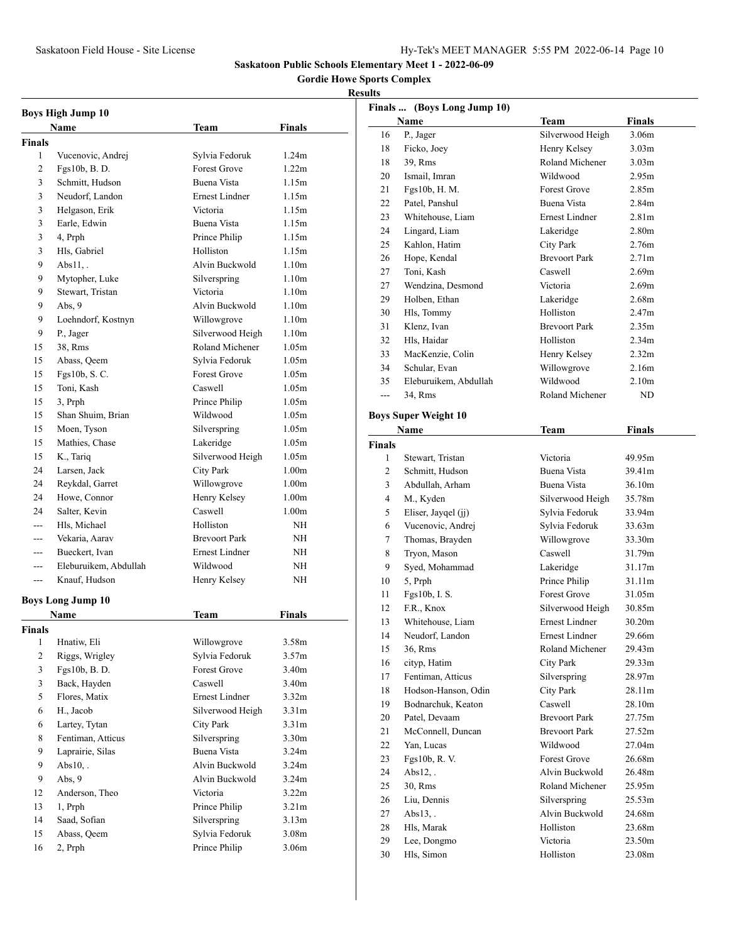**Gordie Howe Sports Complex**

|                | <b>Boys High Jump 10</b><br>Name | Team                  | Finals            |
|----------------|----------------------------------|-----------------------|-------------------|
| <b>Finals</b>  |                                  |                       |                   |
| 1              | Vucenovic, Andrej                | Sylvia Fedoruk        | 1.24m             |
| $\overline{c}$ | Fgs10b, B.D.                     | <b>Forest Grove</b>   | 1.22 <sub>m</sub> |
| 3              | Schmitt, Hudson                  | <b>Buena Vista</b>    | 1.15m             |
| 3              | Neudorf, Landon                  | <b>Ernest Lindner</b> | 1.15m             |
| 3              | Helgason, Erik                   | Victoria              | 1.15m             |
| 3              | Earle, Edwin                     | Buena Vista           | 1.15m             |
| 3              | 4, Prph                          | Prince Philip         | 1.15m             |
| 3              | Hls, Gabriel                     | Holliston             | 1.15m             |
| 9              | $Abs11.$ .                       | Alvin Buckwold        | 1.10 <sub>m</sub> |
| 9              | Mytopher, Luke                   | Silverspring          | 1.10 <sub>m</sub> |
| 9              | Stewart, Tristan                 | Victoria              | 1.10m             |
| 9              | Abs, 9                           | Alvin Buckwold        | 1.10 <sub>m</sub> |
| 9              | Loehndorf, Kostnyn               | Willowgrove           | 1.10m             |
| 9              | P., Jager                        | Silverwood Heigh      | 1.10m             |
| 15             | 38, Rms                          | Roland Michener       | 1.05m             |
| 15             | Abass, Qeem                      | Sylvia Fedoruk        | 1.05m             |
| 15             | Fgs10b, S. C.                    | <b>Forest Grove</b>   | 1.05m             |
| 15             | Toni, Kash                       | Caswell               | 1.05m             |
| 15             | 3. Prph                          | Prince Philip         | 1.05m             |
| 15             | Shan Shuim, Brian                | Wildwood              | 1.05m             |
| 15             | Moen, Tyson                      |                       | 1.05m             |
|                |                                  | Silverspring          |                   |
| 15             | Mathies, Chase                   | Lakeridge             | 1.05m             |
| 15             | K., Tariq                        | Silverwood Heigh      | 1.05m             |
| 24             | Larsen, Jack                     | City Park             | 1.00 <sub>m</sub> |
| 24             | Reykdal, Garret                  | Willowgrove           | 1.00 <sub>m</sub> |
| 24             | Howe, Connor                     | Henry Kelsey          | 1.00m             |
| 24             | Salter, Kevin                    | Caswell               | 1.00 <sub>m</sub> |
| $- - -$        | Hls, Michael                     | Holliston             | NH                |
| $---$          | Vekaria, Aarav                   | <b>Brevoort Park</b>  | NΗ                |
| $---$          | Bueckert, Ivan                   | Ernest Lindner        | NΗ                |
| ---            | Eleburuikem, Abdullah            | Wildwood              | NΗ                |
| $---$          | Knauf, Hudson                    | Henry Kelsey          | NΗ                |
|                | <b>Boys Long Jump 10</b>         |                       |                   |
|                | Name                             | Team                  | Finals            |
| Finals         |                                  |                       |                   |
| $\mathbf{1}$   | Hnatiw, Eli                      | Willowgrove           | 3.58m             |
| $\overline{c}$ | Riggs, Wrigley                   | Sylvia Fedoruk        | 3.57m             |
| 3              | Fgs10b, B.D.                     | Forest Grove          | 3.40m             |
| 3              | Back, Hayden                     | Caswell               | 3.40m             |
| 5              | Flores, Matix                    | <b>Ernest Lindner</b> | 3.32 <sub>m</sub> |
| 6              | H., Jacob                        | Silverwood Heigh      | 3.31 <sub>m</sub> |
| 6              | Lartey, Tytan                    | City Park             | 3.31 <sub>m</sub> |
| 8              | Fentiman, Atticus                | Silverspring          | 3.30 <sub>m</sub> |
| 9              | Laprairie, Silas                 | Buena Vista           | 3.24 <sub>m</sub> |
| 9              | $Abs10.$ .                       | Alvin Buckwold        | 3.24m             |
| 9              | Abs, 9                           | Alvin Buckwold        | 3.24m             |
| 12             | Anderson, Theo                   | Victoria              | 3.22m             |
| 13             | 1, Prph                          | Prince Philip         | 3.21 <sub>m</sub> |
| 14             | Saad, Sofian                     | Silverspring          | 3.13m             |
| 15             | Abass, Qeem                      | Sylvia Fedoruk        | 3.08m             |
| 16             | 2, Prph                          | Prince Philip         | 3.06m             |

|               | Finals  (Boys Long Jump 10) |                       |                   |
|---------------|-----------------------------|-----------------------|-------------------|
|               | Name                        | <b>Team</b>           | Finals            |
| 16            | P., Jager                   | Silverwood Heigh      | 3.06m             |
| 18            | Ficko, Joey                 | Henry Kelsey          | 3.03 <sub>m</sub> |
| 18            | 39. Rms                     | Roland Michener       | 3.03 <sub>m</sub> |
| 20            | Ismail, Imran               | Wildwood              | 2.95m             |
| 21            | Fgs10b, H. M.               | <b>Forest Grove</b>   | 2.85m             |
| 22            | Patel, Panshul              | Buena Vista           | 2.84 <sub>m</sub> |
| 23            | Whitehouse, Liam            | Ernest Lindner        | 2.81 <sub>m</sub> |
| 24            | Lingard, Liam               | Lakeridge             | 2.80 <sub>m</sub> |
| 25            | Kahlon, Hatim               | City Park             | 2.76m             |
| 26            | Hope, Kendal                | <b>Brevoort Park</b>  | 2.71 <sub>m</sub> |
| 27            | Toni, Kash                  | Caswell               | 2.69 <sub>m</sub> |
| 27            | Wendzina, Desmond           | Victoria              | 2.69 <sub>m</sub> |
| 29            | Holben, Ethan               | Lakeridge             | 2.68m             |
| 30            | Hls, Tommy                  | Holliston             | 2.47m             |
| 31            | Klenz, Ivan                 | <b>Brevoort Park</b>  | 2.35m             |
| 32            | Hls, Haidar                 | Holliston             | 2.34 <sub>m</sub> |
| 33            | MacKenzie, Colin            | Henry Kelsey          | 2.32 <sub>m</sub> |
| 34            | Schular, Evan               | Willowgrove           | 2.16m             |
| 35            | Eleburuikem, Abdullah       | Wildwood              | 2.10 <sub>m</sub> |
| ---           | 34. Rms                     | Roland Michener       | ND                |
|               |                             |                       |                   |
|               | <b>Boys Super Weight 10</b> |                       |                   |
|               | Name                        | <b>Team</b>           | <b>Finals</b>     |
| <b>Finals</b> |                             |                       |                   |
| 1             | Stewart, Tristan            | Victoria              | 49.95m            |
| 2             | Schmitt, Hudson             | Buena Vista           | 39.41m            |
| 3             | Abdullah, Arham             | Buena Vista           | 36.10m            |
| 4             | M., Kyden                   | Silverwood Heigh      | 35.78m            |
| 5             | Eliser, Jayqel (jj)         | Sylvia Fedoruk        | 33.94m            |
| 6             | Vucenovic, Andrej           | Sylvia Fedoruk        | 33.63m            |
| 7             | Thomas, Brayden             | Willowgrove           | 33.30m            |
| 8             | Tryon, Mason                | Caswell               | 31.79m            |
| 9             | Syed, Mohammad              | Lakeridge             | 31.17m            |
| 10            | 5, Prph                     | Prince Philip         | 31.11m            |
| 11            | Fgs10b, I. S.               | <b>Forest Grove</b>   | 31.05m            |
| 12            | F.R., Knox                  | Silverwood Heigh      | 30.85m            |
| 13            | Whitehouse, Liam            | <b>Ernest Lindner</b> | 30.20m            |
| 14            | Neudorf, Landon             | Ernest Lindner        | 29.66m            |
| 15            | 36, Rms                     | Roland Michener       | 29.43m            |
| 16            | cityp, Hatim                | City Park             | 29.33m            |
| 17            | Fentiman, Atticus           | Silverspring          | 28.97m            |
| 18            | Hodson-Hanson, Odin         | City Park             | 28.11m            |
| 19            | Bodnarchuk, Keaton          | Caswell               | 28.10m            |
| 20            | Patel, Devaam               | <b>Brevoort Park</b>  | 27.75m            |
| 21            | McConnell, Duncan           | <b>Brevoort Park</b>  | 27.52m            |
| 22            | Yan, Lucas                  | Wildwood              | 27.04m            |
| 23            | Fgs10b, R. V.               | <b>Forest Grove</b>   | 26.68m            |
| 24            | $Abs12,$ .                  | Alvin Buckwold        | 26.48m            |
| 25            | 30, Rms                     | Roland Michener       | 25.95m            |
| 26            | Liu, Dennis                 | Silverspring          | 25.53m            |
| 27            | $Abs13,$ .                  | Alvin Buckwold        | 24.68m            |
| 28            | Hls, Marak                  | Holliston             | 23.68m            |
| 29            | Lee, Dongmo                 | Victoria              | 23.50m            |
| 30            | Hls, Simon                  | Holliston             | 23.08m            |
|               |                             |                       |                   |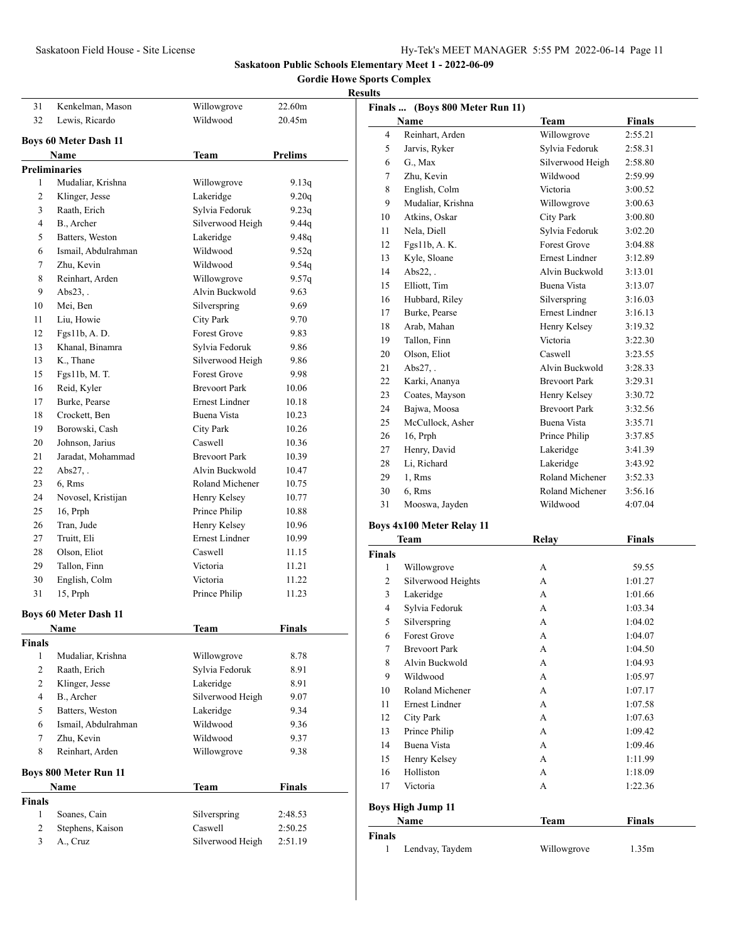# **Gordie Howe Sports Complex**

| 31             | Kenkelman, Mason             | Willowgrove           | 22.60m         |  |
|----------------|------------------------------|-----------------------|----------------|--|
| 32             | Lewis, Ricardo               | Wildwood              | 20.45m         |  |
|                |                              |                       |                |  |
|                | <b>Boys 60 Meter Dash 11</b> |                       |                |  |
|                | Name                         | Team                  | <b>Prelims</b> |  |
|                | <b>Preliminaries</b>         |                       |                |  |
| 1              | Mudaliar, Krishna            | Willowgrove           | 9.13q          |  |
| 2              | Klinger, Jesse               | Lakeridge             | 9.20q          |  |
| 3              | Raath, Erich                 | Sylvia Fedoruk        | 9.23q          |  |
| 4              | B., Archer                   | Silverwood Heigh      | 9.44q          |  |
| 5              | Batters, Weston              | Lakeridge             | 9.48q          |  |
| 6              | Ismail, Abdulrahman          | Wildwood              | 9.52q          |  |
| 7              | Zhu, Kevin                   | Wildwood              | 9.54q          |  |
| 8              | Reinhart, Arden              | Willowgrove           | 9.57q          |  |
| 9              | $Abs23.$ .                   | Alvin Buckwold        | 9.63           |  |
| 10             | Mei, Ben                     | Silverspring          | 9.69           |  |
| 11             | Liu, Howie                   | <b>City Park</b>      | 9.70           |  |
| 12             | Fgs11b, A. D.                | <b>Forest Grove</b>   | 9.83           |  |
| 13             | Khanal, Binamra              | Sylvia Fedoruk        | 9.86           |  |
| 13             | K., Thane                    | Silverwood Heigh      | 9.86           |  |
| 15             | Fgs11b, M. T.                | <b>Forest Grove</b>   | 9.98           |  |
| 16             | Reid, Kyler                  | <b>Brevoort Park</b>  | 10.06          |  |
| 17             | Burke, Pearse                | <b>Ernest Lindner</b> | 10.18          |  |
| 18             | Crockett, Ben                | Buena Vista           | 10.23          |  |
| 19             | Borowski, Cash               | <b>City Park</b>      | 10.26          |  |
| 20             | Johnson, Jarius              | Caswell               | 10.36          |  |
| 21             | Jaradat, Mohammad            | <b>Brevoort Park</b>  | 10.39          |  |
| 22             | $Abs27.$ .                   | Alvin Buckwold        | 10.47          |  |
| 23             | 6, Rms                       | Roland Michener       | 10.75          |  |
| 24             | Novosel, Kristijan           | Henry Kelsey          | 10.77          |  |
| 25             | 16, Prph                     | Prince Philip         | 10.88          |  |
| 26             | Tran, Jude                   | Henry Kelsey          | 10.96          |  |
| 27             | Truitt, Eli                  | <b>Ernest Lindner</b> | 10.99          |  |
| 28             | Olson, Eliot                 | Caswell               | 11.15          |  |
| 29             | Tallon, Finn                 | Victoria              | 11.21          |  |
| 30             | English, Colm                | Victoria              | 11.22          |  |
| 31             | 15, Prph                     | Prince Philip         | 11.23          |  |
|                |                              |                       |                |  |
|                | <b>Boys 60 Meter Dash 11</b> |                       |                |  |
|                | Name                         | Team                  | <b>Finals</b>  |  |
| <b>Finals</b>  |                              |                       |                |  |
| 1              | Mudaliar, Krishna            | Willowgrove           | 8.78           |  |
| $\overline{c}$ | Raath, Erich                 | Sylvia Fedoruk        | 8.91           |  |
| $\overline{c}$ | Klinger, Jesse               | Lakeridge             | 8.91           |  |
| 4              | B., Archer                   | Silverwood Heigh      | 9.07           |  |
| 5              | Batters, Weston              | Lakeridge             | 9.34           |  |
| 6              | Ismail, Abdulrahman          | Wildwood              | 9.36           |  |
| 7              | Zhu, Kevin                   | Wildwood              | 9.37           |  |
| 8              | Reinhart, Arden              | Willowgrove           | 9.38           |  |
|                | <b>Boys 800 Meter Run 11</b> |                       |                |  |
|                | Name                         | Team                  | <b>Finals</b>  |  |
| <b>Finals</b>  |                              |                       |                |  |
| $\mathbf{1}$   | Soanes, Cain                 | Silverspring          | 2:48.53        |  |
| 2              | Stephens, Kaison             | Caswell               | 2:50.25        |  |
| 3              | A., Cruz                     | Silverwood Heigh      | 2:51.19        |  |
|                |                              |                       |                |  |

| 111.3         | Finals  (Boys 800 Meter Run 11)  |                       |               |
|---------------|----------------------------------|-----------------------|---------------|
|               | Name                             | <b>Team</b>           | Finals        |
| 4             | Reinhart, Arden                  | Willowgrove           | 2:55.21       |
| 5             | Jarvis, Ryker                    | Sylvia Fedoruk        | 2:58.31       |
| 6             | G., Max                          | Silverwood Heigh      | 2:58.80       |
| 7             | Zhu, Kevin                       | Wildwood              | 2:59.99       |
| 8             | English, Colm                    | Victoria              | 3:00.52       |
| 9             | Mudaliar, Krishna                | Willowgrove           | 3:00.63       |
| 10            | Atkins, Oskar                    | <b>City Park</b>      | 3:00.80       |
| 11            | Nela, Diell                      | Sylvia Fedoruk        | 3:02.20       |
| 12            | Fgs11b, A. K.                    | <b>Forest Grove</b>   | 3:04.88       |
| 13            | Kyle, Sloane                     | <b>Ernest Lindner</b> | 3:12.89       |
| 14            | $Abs22.$ .                       | Alvin Buckwold        | 3:13.01       |
| 15            | Elliott, Tim                     | Buena Vista           | 3:13.07       |
| 16            | Hubbard, Riley                   | Silverspring          | 3:16.03       |
| 17            | Burke, Pearse                    | Ernest Lindner        | 3:16.13       |
| 18            | Arab, Mahan                      | Henry Kelsey          | 3:19.32       |
| 19            | Tallon, Finn                     | Victoria              | 3:22.30       |
| 20            | Olson, Eliot                     | Caswell               | 3:23.55       |
| 21            | Abs27.                           | Alvin Buckwold        | 3:28.33       |
| 22            | Karki, Ananya                    | <b>Brevoort Park</b>  | 3:29.31       |
| 23            | Coates, Mayson                   | Henry Kelsey          | 3:30.72       |
| 24            | Bajwa, Moosa                     | <b>Brevoort Park</b>  | 3:32.56       |
| 25            | McCullock, Asher                 | Buena Vista           | 3:35.71       |
| 26            | 16, Prph                         | Prince Philip         | 3:37.85       |
| 27            | Henry, David                     | Lakeridge             | 3:41.39       |
| 28            | Li, Richard                      | Lakeridge             | 3:43.92       |
| 29            | 1, Rms                           | Roland Michener       | 3:52.33       |
| 30            | 6, Rms                           | Roland Michener       | 3:56.16       |
| 31            | Mooswa, Jayden                   | Wildwood              | 4:07.04       |
|               |                                  |                       |               |
|               | <b>Boys 4x100 Meter Relay 11</b> |                       |               |
|               | Team                             | Relay                 | <b>Finals</b> |
| <b>Finals</b> |                                  |                       |               |
| 1             | Willowgrove                      | A                     | 59.55         |
| 2             | Silverwood Heights               | A                     | 1:01.27       |
| 3             | Lakeridge                        | А                     | 1:01.66       |
| 4             | Sylvia Fedoruk                   | A                     | 1:03.34       |
| 5             | Silverspring                     | A                     | 1:04.02       |
| 6             | <b>Forest Grove</b>              | A                     | 1:04.07       |
| 7             | <b>Brevoort Park</b>             | А                     | 1:04.50       |
| 8             | Alvin Buckwold                   | А                     | 1:04.93       |
| 9             | Wildwood                         | А                     | 1:05.97       |
| 10            | Roland Michener                  | А                     | 1:07.17       |
| 11            | <b>Ernest Lindner</b>            | А                     | 1:07.58       |
| 12            | <b>City Park</b>                 | А                     | 1:07.63       |
| 13            | Prince Philip                    | A                     | 1:09.42       |
| 14            | Buena Vista                      | A                     | 1:09.46       |
| 15            | Henry Kelsey                     | А                     | 1:11.99       |
| 16            | Holliston                        | А                     | 1:18.09       |
| 17            | Victoria                         | А                     | 1:22.36       |
|               | <b>Boys High Jump 11</b>         |                       |               |
|               | Name                             | Team                  | <b>Finals</b> |
| <b>Finals</b> |                                  |                       |               |
| 1             | Lendvay, Taydem                  | Willowgrove           | 1.35m         |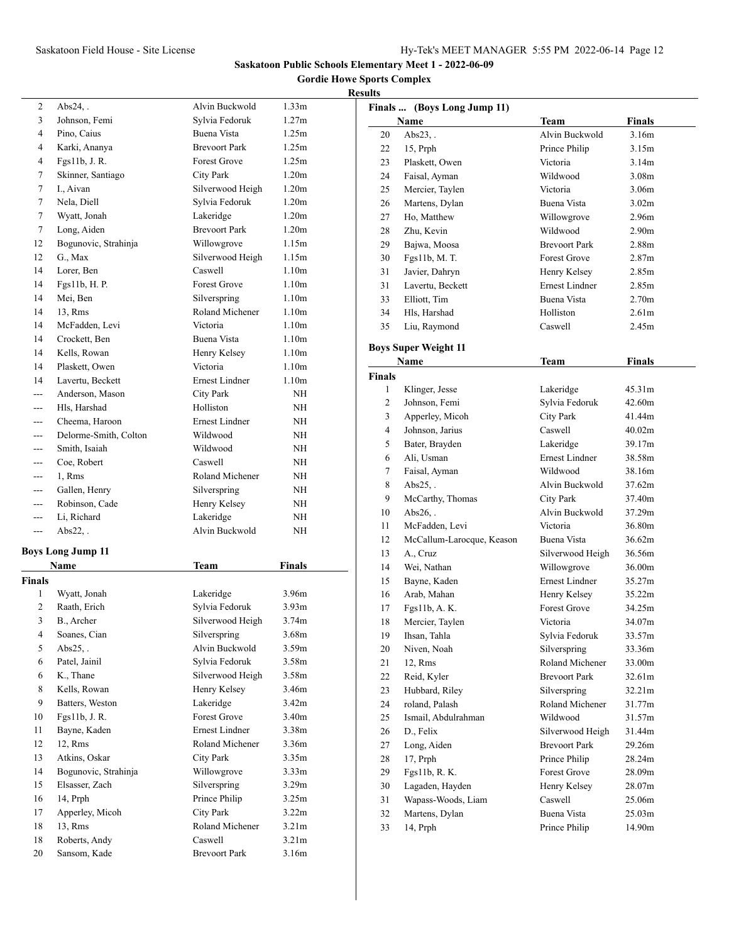**Gordie Howe Sports Complex**

# **Results**

| 2              | $Abs24$ ,.               | Alvin Buckwold        | 1.33m             |  |
|----------------|--------------------------|-----------------------|-------------------|--|
| 3              | Johnson, Femi            | Sylvia Fedoruk        | 1.27m             |  |
| 4              | Pino, Caius              | Buena Vista           | 1.25m             |  |
| 4              | Karki, Ananya            | <b>Brevoort Park</b>  | 1.25m             |  |
| 4              | Fgs11b, J. R.            | <b>Forest Grove</b>   | 1.25m             |  |
| 7              | Skinner, Santiago        | City Park             | 1.20 <sub>m</sub> |  |
| 7              | I., Aivan                | Silverwood Heigh      | 1.20 <sub>m</sub> |  |
| 7              | Nela, Diell              | Sylvia Fedoruk        | 1.20 <sub>m</sub> |  |
| 7              | Wyatt, Jonah             | Lakeridge             | 1.20 <sub>m</sub> |  |
| 7              | Long, Aiden              | <b>Brevoort Park</b>  | 1.20 <sub>m</sub> |  |
| 12             | Bogunovic, Strahinja     | Willowgrove           | 1.15m             |  |
| 12             | G., Max                  | Silverwood Heigh      | 1.15m             |  |
| 14             | Lorer, Ben               | Caswell               | 1.10 <sub>m</sub> |  |
| 14             | Fgs11b, H. P.            | <b>Forest Grove</b>   | 1.10 <sub>m</sub> |  |
| 14             | Mei, Ben                 | Silverspring          | 1.10 <sub>m</sub> |  |
| 14             | 13, Rms                  | Roland Michener       | 1.10 <sub>m</sub> |  |
| 14             | McFadden, Levi           | Victoria              | 1.10 <sub>m</sub> |  |
| 14             | Crockett, Ben            | <b>Buena Vista</b>    | 1.10 <sub>m</sub> |  |
| 14             | Kells, Rowan             | Henry Kelsey          | 1.10 <sub>m</sub> |  |
| 14             | Plaskett, Owen           | Victoria              | 1.10 <sub>m</sub> |  |
| 14             | Lavertu, Beckett         | <b>Ernest Lindner</b> | 1.10 <sub>m</sub> |  |
|                | Anderson, Mason          | City Park             | NΗ                |  |
| $---$          | Hls, Harshad             | Holliston             | ΝH                |  |
|                | Cheema, Haroon           | <b>Ernest Lindner</b> | NΗ                |  |
| ---            | Delorme-Smith, Colton    | Wildwood              | NΗ                |  |
| ---            | Smith, Isaiah            | Wildwood              | ΝH                |  |
| $---$          | Coe, Robert              | Caswell               | NΗ                |  |
| ---            | 1, Rms                   | Roland Michener       | NΗ                |  |
| ---            | Gallen, Henry            | Silverspring          | ΝH                |  |
| $---$          | Robinson, Cade           | Henry Kelsey          | ΝH                |  |
| ---            | Li, Richard              | Lakeridge             | ΝH                |  |
| ---            | $Abs22$ .                | Alvin Buckwold        | ΝH                |  |
|                | <b>Boys Long Jump 11</b> |                       |                   |  |
|                | Name                     | <b>Team</b>           | <b>Finals</b>     |  |
| <b>Finals</b>  |                          |                       |                   |  |
| 1              | Wyatt, Jonah             | Lakeridge             | 3.96m             |  |
| $\overline{c}$ | Raath, Erich             | Sylvia Fedoruk        | 3.93 <sub>m</sub> |  |
| 3              | B., Archer               | Silverwood Heigh      | 3.74m             |  |
| 4              | Soanes, Cian             | Silverspring          | 3.68m             |  |
| 5              | $Abs25.$ .               | Alvin Buckwold        | 3.59 <sub>m</sub> |  |
| 6              | Patel, Jainil            | Sylvia Fedoruk        | 3.58m             |  |
| 6              | K., Thane                | Silverwood Heigh      | 3.58m             |  |
| 8              | Kells, Rowan             | Henry Kelsey          | 3.46m             |  |
| 9              | Batters, Weston          | Lakeridge             | 3.42 <sub>m</sub> |  |
| 10             | Fgs11b, J. R.            | <b>Forest Grove</b>   | 3.40m             |  |
| 11             | Bayne, Kaden             | <b>Ernest Lindner</b> | 3.38m             |  |
| 12             | 12, Rms                  | Roland Michener       | 3.36m             |  |
| 13             | Atkins, Oskar            | City Park             | 3.35m             |  |
| 14             | Bogunovic, Strahinja     | Willowgrove           | 3.33m             |  |
| 15             | Elsasser, Zach           | Silverspring          | 3.29 <sub>m</sub> |  |
| 16             | 14, Prph                 | Prince Philip         | 3.25m             |  |
| 17             | Apperley, Micoh          | City Park             | 3.22m             |  |
| 18             | 13, Rms                  | Roland Michener       | 3.21 <sub>m</sub> |  |
| 18             | Roberts, Andy            | Caswell               | 3.21 <sub>m</sub> |  |
| 20             | Sansom, Kade             | <b>Brevoort Park</b>  | 3.16m             |  |

|               | Finals  (Boys Long Jump 11)         |                       |                   |
|---------------|-------------------------------------|-----------------------|-------------------|
|               | <b>Name</b>                         | Team                  | <b>Finals</b>     |
| 20            | $Abs23$ ,.                          | Alvin Buckwold        | 3.16m             |
| 22            | 15, Prph                            | Prince Philip         | 3.15m             |
| 23            | Plaskett, Owen                      | Victoria              | 3.14m             |
| 24            | Faisal, Ayman                       | Wildwood              | 3.08 <sub>m</sub> |
| 25            | Mercier, Taylen                     | Victoria              | 3.06m             |
| 26            | Martens, Dylan                      | Buena Vista           | 3.02 <sub>m</sub> |
| 27            | Ho, Matthew                         | Willowgrove           | 2.96m             |
| 28            | Zhu, Kevin                          | Wildwood              | 2.90 <sub>m</sub> |
| 29            | Bajwa, Moosa                        | <b>Brevoort Park</b>  | 2.88m             |
| 30            | Fgs11b, M. T.                       | <b>Forest Grove</b>   | 2.87 <sub>m</sub> |
| 31            | Javier, Dahryn                      | Henry Kelsey          | 2.85m             |
| 31            | Lavertu, Beckett                    | <b>Ernest Lindner</b> | 2.85m             |
| 33            | Elliott, Tim                        | Buena Vista           | 2.70 <sub>m</sub> |
| 34            | Hls, Harshad                        | Holliston             | 2.61 <sub>m</sub> |
| 35            | Liu, Raymond                        | Caswell               | 2.45m             |
|               |                                     |                       |                   |
|               | <b>Boys Super Weight 11</b><br>Name | Team                  | <b>Finals</b>     |
| <b>Finals</b> |                                     |                       |                   |
| 1             | Klinger, Jesse                      | Lakeridge             | 45.31m            |
| 2             | Johnson, Femi                       | Sylvia Fedoruk        | 42.60m            |
| 3             |                                     | <b>City Park</b>      | 41.44m            |
| 4             | Apperley, Micoh<br>Johnson, Jarius  | Caswell               |                   |
|               |                                     |                       | 40.02m            |
| 5             | Bater, Brayden                      | Lakeridge             | 39.17m            |
| 6             | Ali, Usman                          | <b>Ernest Lindner</b> | 38.58m            |
| 7             | Faisal, Ayman                       | Wildwood              | 38.16m            |
| 8             | $Abs25.$ .                          | Alvin Buckwold        | 37.62m            |
| 9             | McCarthy, Thomas                    | <b>City Park</b>      | 37.40m            |
| 10            | Abs26.                              | Alvin Buckwold        | 37.29m            |
| 11            | McFadden, Levi                      | Victoria              | 36.80m            |
| 12            | McCallum-Larocque, Keason           | Buena Vista           | 36.62m            |
| 13            | A., Cruz                            | Silverwood Heigh      | 36.56m            |
| 14            | Wei, Nathan                         | Willowgrove           | 36.00m            |
| 15            | Bayne, Kaden                        | <b>Ernest Lindner</b> | 35.27m            |
| 16            | Arab, Mahan                         | Henry Kelsey          | 35.22m            |
| 17            | Fgs11b, A. K.                       | <b>Forest Grove</b>   | 34.25m            |
| 18            | Mercier, Taylen                     | Victoria              | 34.07m            |
| 19            | Ihsan, Tahla                        | Sylvia Fedoruk        | 33.57m            |
| 20            | Niven, Noah                         | Silverspring          | 33.36m            |
| 21            | 12, Rms                             | Roland Michener       | 33.00m            |
| 22            | Reid, Kyler                         | <b>Brevoort Park</b>  | 32.61m            |
| 23            | Hubbard, Riley                      | Silverspring          | 32.21m            |
| 24            | roland, Palash                      | Roland Michener       | 31.77m            |
| 25            | Ismail, Abdulrahman                 | Wildwood              | 31.57m            |
| 26            | D., Felix                           | Silverwood Heigh      | 31.44m            |
| 27            | Long, Aiden                         | <b>Brevoort Park</b>  | 29.26m            |
| 28            | 17, Prph                            | Prince Philip         | 28.24m            |
| 29            | Fgs11b, R. K.                       | Forest Grove          | 28.09m            |
| 30            | Lagaden, Hayden                     | Henry Kelsey          | 28.07m            |
| 31            | Wapass-Woods, Liam                  | Caswell               | 25.06m            |
| 32            | Martens, Dylan                      | Buena Vista           | 25.03m            |
| 33            | 14, Prph                            | Prince Philip         | 14.90m            |
|               |                                     |                       |                   |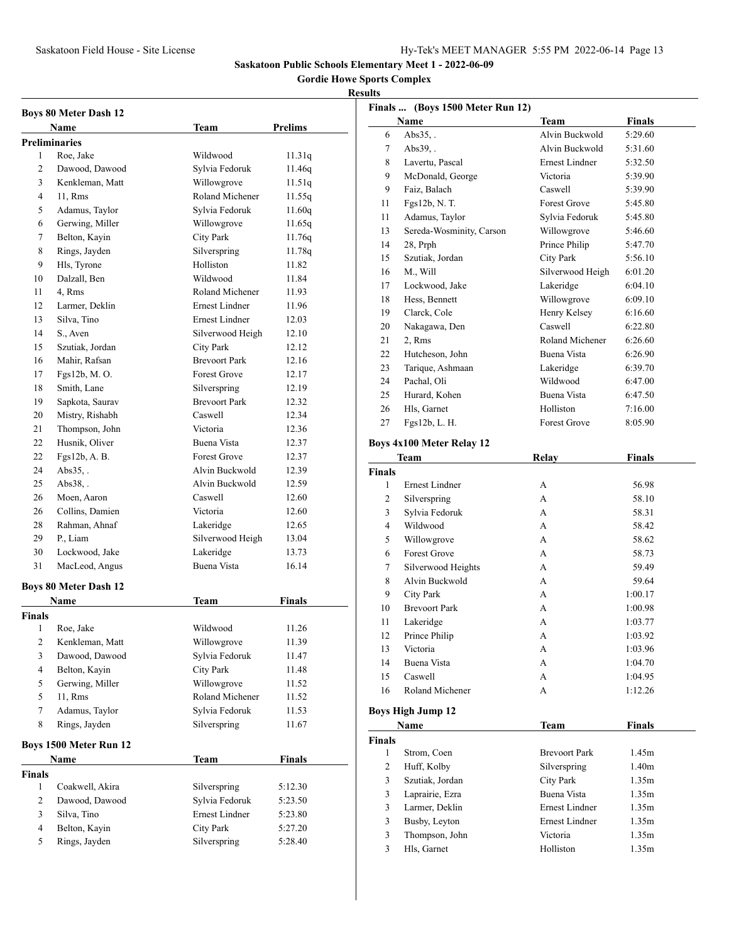**Gordie Howe Sports Complex**

|                          | <b>Boys 80 Meter Dash 12</b>      |                             |                |
|--------------------------|-----------------------------------|-----------------------------|----------------|
|                          | Name                              | <b>Team</b>                 | Prelims        |
|                          | Preliminaries                     |                             |                |
| 1                        | Roe, Jake                         | Wildwood                    | 11.31q         |
| 2                        | Dawood, Dawood                    | Sylvia Fedoruk              | 11.46q         |
| 3                        | Kenkleman, Matt                   | Willowgrove                 | 11.51q         |
| 4                        | 11, Rms                           | Roland Michener             | 11.55q         |
| 5                        | Adamus, Taylor                    | Sylvia Fedoruk              | 11.60q         |
| 6                        | Gerwing, Miller                   | Willowgrove                 | 11.65q         |
| 7                        | Belton, Kayin                     | City Park                   | 11.76q         |
| 8                        | Rings, Jayden                     | Silverspring                | 11.78q         |
| 9                        | Hls, Tyrone                       | Holliston                   | 11.82          |
| 10                       | Dalzall, Ben                      | Wildwood                    | 11.84          |
| 11                       | 4, Rms                            | Roland Michener             | 11.93          |
| 12                       | Larmer, Deklin                    | Ernest Lindner              | 11.96          |
| 13                       | Silva, Tino                       | <b>Ernest Lindner</b>       | 12.03          |
| 14                       | S., Aven                          | Silverwood Heigh            | 12.10          |
| 15                       | Szutiak, Jordan                   | <b>City Park</b>            | 12.12          |
| 16                       | Mahir, Rafsan                     | <b>Brevoort Park</b>        | 12.16          |
| 17                       | Fgs12b, M.O.                      | Forest Grove                | 12.17          |
| 18                       | Smith, Lane                       | Silverspring                | 12.19          |
| 19                       | Sapkota, Saurav                   | <b>Brevoort Park</b>        | 12.32          |
| 20                       | Mistry, Rishabh                   | Caswell                     | 12.34          |
| 21                       | Thompson, John                    | Victoria                    | 12.36          |
| 22                       | Husnik, Oliver                    | Buena Vista                 | 12.37          |
| 22                       | Fgs12b, A. B.                     | Forest Grove                | 12.37          |
| 24                       | Abs35                             | Alvin Buckwold              | 12.39          |
| 25                       | $Abs38.$ .                        | Alvin Buckwold              | 12.59          |
| 26                       | Moen, Aaron                       | Caswell                     | 12.60          |
| 26                       | Collins, Damien                   | Victoria                    | 12.60          |
| 28                       | Rahman, Ahnaf                     | Lakeridge                   | 12.65          |
| 29                       | P., Liam                          | Silverwood Heigh            | 13.04          |
| 30                       | Lockwood, Jake                    | Lakeridge                   | 13.73          |
| 31                       | MacLeod, Angus                    | Buena Vista                 | 16.14          |
|                          | <b>Boys 80 Meter Dash 12</b>      |                             |                |
|                          | <b>Name</b>                       |                             | Finals         |
|                          |                                   | Team                        |                |
| Finals<br>$\mathbf{1}$   |                                   | Wildwood                    | 11.26          |
| $\mathbf{2}$             | Roe, Jake                         |                             |                |
| 3                        | Kenkleman, Matt<br>Dawood, Dawood | Willowgrove                 | 11.39          |
| $\overline{\mathcal{L}}$ |                                   | Sylvia Fedoruk<br>City Park | 11.47          |
| 5                        | Belton, Kayin                     | Willowgrove                 | 11.48<br>11.52 |
| 5                        | Gerwing, Miller                   | Roland Michener             |                |
|                          | 11, Rms                           | Sylvia Fedoruk              | 11.52          |
| $\tau$                   | Adamus, Taylor                    |                             | 11.53          |
| 8                        | Rings, Jayden                     | Silverspring                | 11.67          |
|                          | Boys 1500 Meter Run 12            |                             |                |
|                          | <b>Name</b>                       | Team                        | <b>Finals</b>  |
| Finals                   |                                   |                             |                |
| 1                        | Coakwell, Akira                   | Silverspring                | 5:12.30        |
| $\mathbf{2}$             | Dawood, Dawood                    | Sylvia Fedoruk              | 5:23.50        |
| 3                        | Silva, Tino                       | Ernest Lindner              | 5:23.80        |
| 4                        | Belton, Kayin                     | City Park                   | 5:27.20        |
| 5                        | Rings, Jayden                     | Silverspring                | 5:28.40        |
|                          |                                   |                             |                |

|                    | Finals  (Boys 1500 Meter Run 12)         |                       |                   |
|--------------------|------------------------------------------|-----------------------|-------------------|
|                    | Name                                     | <b>Team</b>           | <b>Finals</b>     |
| 6                  | $Abs35.$ .                               | Alvin Buckwold        | 5:29.60           |
| 7                  | $Abs39.$ .                               | Alvin Buckwold        | 5:31.60           |
| 8                  | Lavertu, Pascal                          | <b>Ernest Lindner</b> | 5:32.50           |
| 9                  | McDonald, George                         | Victoria              | 5:39.90           |
| 9                  | Faiz, Balach                             | Caswell               | 5:39.90           |
| 11                 | Fgs12b, N.T.                             | <b>Forest Grove</b>   | 5:45.80           |
| 11                 | Adamus, Taylor                           | Sylvia Fedoruk        | 5:45.80           |
| 13                 | Sereda-Wosminity, Carson                 | Willowgrove           | 5:46.60           |
| 14                 | 28, Prph                                 | Prince Philip         | 5:47.70           |
| 15                 | Szutiak, Jordan                          | City Park             | 5:56.10           |
| 16                 | M., Will                                 | Silverwood Heigh      | 6:01.20           |
| 17                 | Lockwood, Jake                           | Lakeridge             | 6:04.10           |
| 18                 | Hess, Bennett                            | Willowgrove           | 6:09.10           |
| 19                 | Clarck, Cole                             | Henry Kelsey          | 6:16.60           |
| 20                 | Nakagawa, Den                            | Caswell               | 6:22.80           |
| 21                 | 2, Rms                                   | Roland Michener       | 6:26.60           |
| 22                 | Hutcheson, John                          | Buena Vista           | 6:26.90           |
| 23                 | Tarique, Ashmaan                         | Lakeridge             | 6:39.70           |
| 24                 | Pachal, Oli                              | Wildwood              | 6:47.00           |
| 25                 | Hurard, Kohen                            | Buena Vista           | 6:47.50           |
| 26                 | Hls, Garnet                              | Holliston             | 7:16.00           |
| 27                 | Fgs12b, L. H.                            | <b>Forest Grove</b>   | 8:05.90           |
|                    |                                          |                       |                   |
|                    | <b>Boys 4x100 Meter Relay 12</b>         |                       |                   |
|                    | Team                                     | Relay                 | <b>Finals</b>     |
| <b>Finals</b><br>1 | <b>Ernest Lindner</b>                    | A                     |                   |
| 2                  |                                          | A                     | 56.98<br>58.10    |
|                    | Silverspring                             | A                     |                   |
| 3<br>4             | Sylvia Fedoruk<br>Wildwood               | A                     | 58.31<br>58.42    |
| 5                  |                                          | A                     |                   |
|                    | Willowgrove<br><b>Forest Grove</b>       |                       | 58.62             |
| 6                  |                                          | А                     | 58.73             |
| 7                  | Silverwood Heights                       | А                     | 59.49             |
| 8                  | Alvin Buckwold                           | А                     | 59.64             |
| 9                  | <b>City Park</b><br><b>Brevoort Park</b> | A                     | 1:00.17           |
| 10                 |                                          | A                     | 1:00.98           |
| 11                 | Lakeridge                                | А                     | 1:03.77           |
| 12                 | Prince Philip                            | А                     | 1:03.92           |
| 13                 | Victoria                                 | A                     | 1:03.96           |
| 14                 | Buena Vista                              | А                     | 1:04.70           |
| 15                 | Caswell                                  | А                     | 1:04.95           |
| 16                 | Roland Michener                          | А                     | 1:12.26           |
|                    | <b>Boys High Jump 12</b>                 |                       |                   |
|                    | Name                                     | <b>Team</b>           | <b>Finals</b>     |
| Finals             |                                          |                       |                   |
| 1                  | Strom, Coen                              | <b>Brevoort Park</b>  | 1.45m             |
| 2                  | Huff, Kolby                              | Silverspring          | 1.40 <sub>m</sub> |
| 3                  | Szutiak, Jordan                          | City Park             | 1.35m             |
| 3                  | Laprairie, Ezra                          | <b>Buena Vista</b>    | 1.35m             |
| 3                  | Larmer, Deklin                           | <b>Ernest Lindner</b> | 1.35m             |
| 3                  | Busby, Leyton                            | Ernest Lindner        | 1.35m             |
| 3                  | Thompson, John                           | Victoria              | 1.35m             |
| 3                  | Hls, Garnet                              | Holliston             | 1.35m             |
|                    |                                          |                       |                   |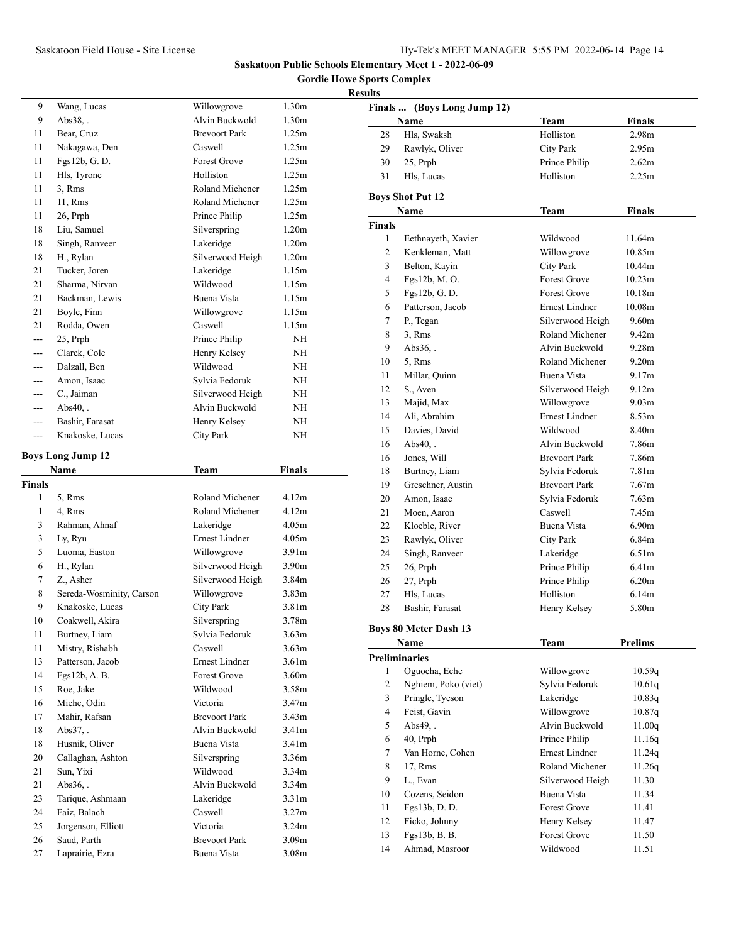**Gordie Howe Sports Complex**

| 9                  | Wang, Lucas              | Willowgrove                          | 1.30 <sub>m</sub> |
|--------------------|--------------------------|--------------------------------------|-------------------|
| 9                  | $Abs38,$ .               | Alvin Buckwold                       | 1.30 <sub>m</sub> |
| 11                 | Bear, Cruz               | <b>Brevoort Park</b>                 | 1.25m             |
| 11                 | Nakagawa, Den            | Caswell                              | 1.25m             |
| 11                 | Fgs12b, G.D.             | <b>Forest Grove</b>                  | 1.25m             |
| 11                 | Hls, Tyrone              | Holliston                            | 1.25m             |
| 11                 | 3, Rms                   | Roland Michener                      | 1.25m             |
| 11                 | 11, Rms                  | Roland Michener                      | 1.25m             |
| 11                 | 26, Prph                 | Prince Philip                        | 1.25m             |
| 18                 | Liu, Samuel              | Silverspring                         | 1.20 <sub>m</sub> |
| 18                 | Singh, Ranveer           | Lakeridge                            | 1.20 <sub>m</sub> |
| 18                 | H., Rylan                | Silverwood Heigh                     | 1.20 <sub>m</sub> |
| 21                 | Tucker, Joren            | Lakeridge                            | 1.15m             |
| 21                 | Sharma, Nirvan           | Wildwood                             | 1.15m             |
| 21                 | Backman, Lewis           | Buena Vista                          | 1.15m             |
| 21                 | Boyle, Finn              | Willowgrove                          | 1.15m             |
| 21                 | Rodda, Owen              | Caswell                              | 1.15m             |
|                    | 25, Prph                 | Prince Philip                        | NH                |
| ---                | Clarck, Cole             | Henry Kelsey                         | NH                |
| ---                | Dalzall, Ben             | Wildwood                             | NH                |
| ---                | Amon, Isaac              | Sylvia Fedoruk                       | NH                |
| ---                | C., Jaiman               | Silverwood Heigh                     | NΗ                |
| $---$              | $Abs40.$ .               | Alvin Buckwold                       | NH                |
| $---$              | Bashir, Farasat          | Henry Kelsey                         | NH                |
| ---                | Knakoske, Lucas          | <b>City Park</b>                     | NH                |
|                    | <b>Boys Long Jump 12</b> |                                      |                   |
|                    | Name                     | Team                                 | Finals            |
|                    |                          |                                      |                   |
|                    |                          |                                      |                   |
| <b>Finals</b><br>1 | 5, Rms                   | Roland Michener                      | 4.12m             |
| 1                  | 4, Rms                   | Roland Michener                      | 4.12m             |
| 3                  | Rahman, Ahnaf            | Lakeridge                            | 4.05m             |
| 3                  | Ly, Ryu                  | Ernest Lindner                       | 4.05m             |
| 5                  | Luoma, Easton            | Willowgrove                          | 3.91 <sub>m</sub> |
| 6                  | H., Rylan                |                                      | 3.90 <sub>m</sub> |
| 7                  | Z., Asher                | Silverwood Heigh<br>Silverwood Heigh | 3.84m             |
| 8                  | Sereda-Wosminity, Carson | Willowgrove                          | 3.83 <sub>m</sub> |
| 9                  | Knakoske, Lucas          | City Park                            | 3.81 <sub>m</sub> |
| 10                 | Coakwell, Akira          | Silverspring                         | 3.78m             |
| 11                 | Burtney, Liam            | Sylvia Fedoruk                       | 3.63m             |
| 11                 | Mistry, Rishabh          | Caswell                              | 3.63m             |
| 13                 | Patterson, Jacob         | Ernest Lindner                       | 3.61 <sub>m</sub> |
| 14                 | Fgs12b, A. B.            | Forest Grove                         | 3.60m             |
| 15                 | Roe, Jake                | Wildwood                             | 3.58m             |
| 16                 | Miehe, Odin              | Victoria                             | 3.47m             |
| 17                 | Mahir, Rafsan            | <b>Brevoort Park</b>                 | 3.43m             |
| 18                 | Abs37,.                  | Alvin Buckwold                       | 3.41 <sub>m</sub> |
| 18                 | Husnik, Oliver           | Buena Vista                          | 3.41 <sub>m</sub> |
| 20                 | Callaghan, Ashton        | Silverspring                         | 3.36m             |
| 21                 | Sun, Yixi                | Wildwood                             | 3.34m             |
| 21                 | Abs36,.                  | Alvin Buckwold                       | 3.34m             |
| 23                 | Tarique, Ashmaan         | Lakeridge                            | 3.31m             |
| 24                 | Faiz, Balach             | Caswell                              | 3.27m             |
| 25                 | Jorgenson, Elliott       | Victoria                             | 3.24m             |
| 26                 | Saud, Parth              | <b>Brevoort Park</b>                 | 3.09m             |

|                | Finals  (Boys Long Jump 12)  |                       |                    |
|----------------|------------------------------|-----------------------|--------------------|
|                | <b>Name</b>                  | <b>Team</b>           | Finals             |
| 28             | Hls, Swaksh                  | Holliston             | 2.98 <sub>m</sub>  |
| 29             | Rawlyk, Oliver               | City Park             | 2.95m              |
| 30             | 25, Prph                     | Prince Philip         | 2.62m              |
| 31             | Hls, Lucas                   | Holliston             | 2.25m              |
|                | <b>Boys Shot Put 12</b>      |                       |                    |
|                | Name                         | Team                  | <b>Finals</b>      |
| <b>Finals</b>  |                              |                       |                    |
| 1              | Eethnayeth, Xavier           | Wildwood              | 11.64m             |
| 2              | Kenkleman, Matt              | Willowgrove           | 10.85m             |
| 3              | Belton, Kayin                | City Park             | 10.44m             |
| 4              | Fgs12b, M.O.                 | <b>Forest Grove</b>   | 10.23m             |
| 5              | Fgs12b, G.D.                 | <b>Forest Grove</b>   | 10.18m             |
| 6              | Patterson, Jacob             | Ernest Lindner        | 10.08 <sub>m</sub> |
| 7              | P., Tegan                    | Silverwood Heigh      | 9.60m              |
| 8              | 3, Rms                       | Roland Michener       | 9.42 <sub>m</sub>  |
| 9              | $Abs36.$ .                   | Alvin Buckwold        | 9.28m              |
| 10             | 5, Rms                       | Roland Michener       | 9.20 <sub>m</sub>  |
| 11             | Millar, Quinn                | Buena Vista           | 9.17 <sub>m</sub>  |
| 12             | S., Aven                     | Silverwood Heigh      | 9.12 <sub>m</sub>  |
| 13             | Majid, Max                   | Willowgrove           | 9.03 <sub>m</sub>  |
| 14             | Ali, Abrahim                 | <b>Ernest Lindner</b> | 8.53 <sub>m</sub>  |
| 15             | Davies, David                | Wildwood              | 8.40 <sub>m</sub>  |
| 16             | $Abs40,$ .                   | Alvin Buckwold        | 7.86m              |
| 16             | Jones, Will                  | <b>Brevoort Park</b>  | 7.86m              |
| 18             | Burtney, Liam                | Sylvia Fedoruk        | 7.81 <sub>m</sub>  |
| 19             | Greschner, Austin            | <b>Brevoort Park</b>  | 7.67 <sub>m</sub>  |
| 20             | Amon, Isaac                  | Sylvia Fedoruk        | 7.63 <sub>m</sub>  |
| 21             | Moen, Aaron                  | Caswell               | 7.45m              |
| 22             | Kloeble, River               | Buena Vista           | 6.90 <sub>m</sub>  |
| 23             | Rawlyk, Oliver               | City Park             | 6.84m              |
| 24             | Singh, Ranveer               | Lakeridge             | 6.51 <sub>m</sub>  |
| 25             | 26, Prph                     | Prince Philip         | 6.41m              |
| 26             | 27, Prph                     | Prince Philip         | 6.20 <sub>m</sub>  |
| 27             | Hls, Lucas                   | Holliston             | 6.14m              |
| 28             | Bashir, Farasat              | Henry Kelsey          | 5.80m              |
|                |                              |                       |                    |
|                | <b>Boys 80 Meter Dash 13</b> |                       |                    |
|                | Name                         | <b>Team</b>           | <b>Prelims</b>     |
|                | <b>Preliminaries</b>         |                       |                    |
| 1              | Oguocha, Eche                | Willowgrove           | 10.59q             |
| $\overline{c}$ | Nghiem, Poko (viet)          | Sylvia Fedoruk        | 10.61q             |
| 3              | Pringle, Tyeson              | Lakeridge             | 10.83q             |
| 4              | Feist, Gavin                 | Willowgrove           | 10.87q             |
| 5              | Abs49,.                      | Alvin Buckwold        | 11.00q             |
| 6              | $40$ , Prph                  | Prince Philip         | 11.16q             |
| 7              | Van Horne, Cohen             | <b>Ernest Lindner</b> | 11.24q             |
| 8              | 17, Rms                      | Roland Michener       | 11.26q             |
| 9              | L., Evan                     | Silverwood Heigh      | 11.30              |
| 10             | Cozens, Seidon               | Buena Vista           | 11.34              |
| 11             | Fgs13b, D.D.                 | Forest Grove          | 11.41              |
| 12             | Ficko, Johnny                | Henry Kelsey          | 11.47              |
| 13             | Fgs13b, B. B.                | Forest Grove          | 11.50              |
| 14             | Ahmad, Masroor               | Wildwood              | 11.51              |
|                |                              |                       |                    |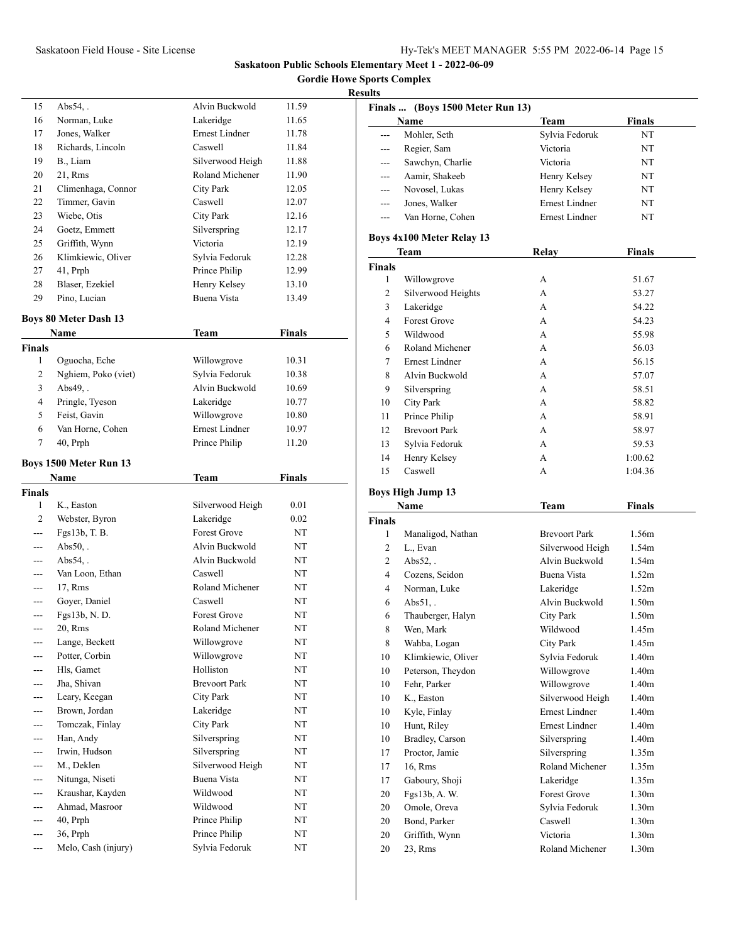**Gordie Howe Sports Complex**

#### **Results**

|    | Name                         | Team                  | Finals |
|----|------------------------------|-----------------------|--------|
|    | <b>Boys 80 Meter Dash 13</b> |                       |        |
| 29 | Pino, Lucian                 | Buena Vista           | 13.49  |
| 28 | Blaser, Ezekiel              | Henry Kelsey          | 13.10  |
| 27 | 41, Prph                     | Prince Philip         | 12.99  |
| 26 | Klimkiewic, Oliver           | Sylvia Fedoruk        | 12.28  |
| 25 | Griffith, Wynn               | Victoria              | 12.19  |
| 24 | Goetz, Emmett                | Silverspring          | 12.17  |
| 23 | Wiebe, Otis                  | City Park             | 12.16  |
| 22 | Timmer, Gavin                | Caswell               | 12.07  |
| 21 | Climenhaga, Connor           | City Park             | 12.05  |
| 20 | 21, Rms                      | Roland Michener       | 11.90  |
| 19 | B., Liam                     | Silverwood Heigh      | 11.88  |
| 18 | Richards, Lincoln            | Caswell               | 11.84  |
| 17 | Jones, Walker                | <b>Ernest Lindner</b> | 11.78  |
| 16 | Norman, Luke                 | Lakeridge             | 11.65  |
| 15 | Abs $54.$ .                  | Alvin Buckwold        | 11.59  |
|    |                              |                       |        |

|        | гчаше               | теаш           | г шаіз |  |
|--------|---------------------|----------------|--------|--|
| Finals |                     |                |        |  |
|        | Oguocha, Eche       | Willowgrove    | 10.31  |  |
| 2      | Nghiem, Poko (viet) | Sylvia Fedoruk | 10.38  |  |
| 3      | $Abs49.$ .          | Alvin Buckwold | 10.69  |  |
| 4      | Pringle, Tyeson     | Lakeridge      | 10.77  |  |
| 5      | Feist, Gavin        | Willowgrove    | 10.80  |  |
| 6      | Van Horne, Cohen    | Ernest Lindner | 10.97  |  |
|        | $40$ , Prph         | Prince Philip  | 11.20  |  |
|        |                     |                |        |  |

# **Boys 1500 Meter Run 13**

|                | Name                | Team                 | Finals    |  |
|----------------|---------------------|----------------------|-----------|--|
| <b>Finals</b>  |                     |                      |           |  |
| 1              | K., Easton          | Silverwood Heigh     | 0.01      |  |
| $\overline{c}$ | Webster, Byron      | Lakeridge            | 0.02      |  |
| ---            | Fgs13b, T. B.       | <b>Forest Grove</b>  | <b>NT</b> |  |
| ---            | $Abs50.$ .          | Alvin Buckwold       | NT        |  |
| ---            | $Abs54.$ .          | Alvin Buckwold       | <b>NT</b> |  |
| ---            | Van Loon, Ethan     | Caswell              | <b>NT</b> |  |
| ---            | 17, Rms             | Roland Michener      | <b>NT</b> |  |
| ---            | Goyer, Daniel       | Caswell              | <b>NT</b> |  |
| ---            | Fgs13b, N.D.        | <b>Forest Grove</b>  | NT        |  |
| ---            | 20, Rms             | Roland Michener      | NT        |  |
|                | Lange, Beckett      | Willowgrove          | NT        |  |
| ---            | Potter, Corbin      | Willowgrove          | NT        |  |
| ---            | Hls, Gamet          | Holliston            | <b>NT</b> |  |
|                | Jha, Shivan         | <b>Brevoort Park</b> | NT        |  |
| ---            | Leary, Keegan       | <b>City Park</b>     | NT        |  |
| ---            | Brown, Jordan       | Lakeridge            | <b>NT</b> |  |
|                | Tomczak, Finlay     | <b>City Park</b>     | NT        |  |
| ---            | Han, Andy           | Silverspring         | NT        |  |
| ---            | Irwin, Hudson       | Silverspring         | NT        |  |
|                | M., Deklen          | Silverwood Heigh     | <b>NT</b> |  |
| ---            | Nitunga, Niseti     | <b>Buena Vista</b>   | NT        |  |
| ---            | Kraushar, Kayden    | Wildwood             | <b>NT</b> |  |
| ---            | Ahmad, Masroor      | Wildwood             | <b>NT</b> |  |
| ---            | $40$ , Prph         | Prince Philip        | NT        |  |
| ---            | 36, Prph            | Prince Philip        | NT        |  |
| ---            | Melo, Cash (injury) | Sylvia Fedoruk       | NT        |  |
|                |                     |                      |           |  |

|                          | Finals  (Boys 1500 Meter Run 13) |                       |                   |
|--------------------------|----------------------------------|-----------------------|-------------------|
|                          | Name                             | Team                  | <b>Finals</b>     |
| ---                      | Mohler, Seth                     | Sylvia Fedoruk        | NT                |
| $---$                    | Regier, Sam                      | Victoria              | NT                |
| ---                      | Sawchyn, Charlie                 | Victoria              | NT                |
| ---                      | Aamir, Shakeeb                   | Henry Kelsey          | NT                |
|                          | Novosel, Lukas                   | Henry Kelsey          | NT                |
| ---                      | Jones, Walker                    | <b>Ernest Lindner</b> | NT                |
| ---                      | Van Horne, Cohen                 | Ernest Lindner        | NT                |
|                          | <b>Boys 4x100 Meter Relay 13</b> |                       |                   |
|                          | Team                             | <b>Relay</b>          | Finals            |
| <b>Finals</b>            |                                  |                       |                   |
| 1                        | Willowgrove                      | А                     | 51.67             |
| 2                        | Silverwood Heights               | А                     | 53.27             |
| 3                        | Lakeridge                        | А                     | 54.22             |
| 4                        | <b>Forest Grove</b>              | А                     | 54.23             |
| 5                        | Wildwood                         | A                     | 55.98             |
| 6                        | Roland Michener                  | A                     | 56.03             |
| 7                        | <b>Ernest Lindner</b>            | А                     | 56.15             |
| 8                        | Alvin Buckwold                   | A                     | 57.07             |
| 9                        | Silverspring                     | A                     | 58.51             |
| 10                       | City Park                        | А                     | 58.82             |
| 11                       | Prince Philip                    | A                     | 58.91             |
| 12                       | <b>Brevoort Park</b>             | A                     | 58.97             |
| 13                       | Sylvia Fedoruk                   | А                     | 59.53             |
| 14                       | Henry Kelsey                     | A                     | 1:00.62           |
| 15                       | Caswell                          | А                     | 1:04.36           |
|                          |                                  |                       |                   |
| <b>Boys High Jump 13</b> |                                  |                       |                   |
|                          | Name                             | Team                  | <b>Finals</b>     |
| <b>Finals</b>            |                                  |                       | 1.56m             |
| 1                        | Manaligod, Nathan                | <b>Brevoort Park</b>  |                   |
| 2                        | L., Evan<br>$Abs52.$ .           | Silverwood Heigh      | 1.54m<br>1.54m    |
| 2                        |                                  | Alvin Buckwold        |                   |
| 4                        | Cozens, Seidon<br>Norman, Luke   | Buena Vista           | 1.52m             |
| 4                        |                                  | Lakeridge             | 1.52m             |
| 6                        | $Abs51,$ .                       | Alvin Buckwold        | 1.50 <sub>m</sub> |
| 6                        | Thauberger, Halyn                | City Park             | 1.50m             |
| 8                        | Wen, Mark                        | Wildwood              | 1.45m             |
| 8                        | Wahba, Logan                     | City Park             | 1.45m             |
| $10\,$                   | Klimkiewic, Oliver               | Sylvia Fedoruk        | 1.40 <sub>m</sub> |
| 10                       | Peterson, Theydon                | Willowgrove           | 1.40 <sub>m</sub> |
| 10                       | Fehr, Parker                     | Willowgrove           | 1.40m             |
| 10                       | K., Easton                       | Silverwood Heigh      | 1.40 <sub>m</sub> |
| 10                       | Kyle, Finlay                     | Ernest Lindner        | 1.40m             |
| 10                       | Hunt, Riley                      | Ernest Lindner        | 1.40m             |
| $10\,$                   | <b>Bradley</b> , Carson          | Silverspring          | 1.40m             |

17 Proctor, Jamie Silverspring 1.35m 16, Rms Roland Michener 1.35m Gaboury, Shoji Lakeridge 1.35m Fgs13b, A. W. Forest Grove 1.30m 20 Omole, Oreva Sylvia Fedoruk 1.30m 20 Bond, Parker Caswell 1.30m Griffith, Wynn Victoria 1.30m 23, Rms Roland Michener 1.30m